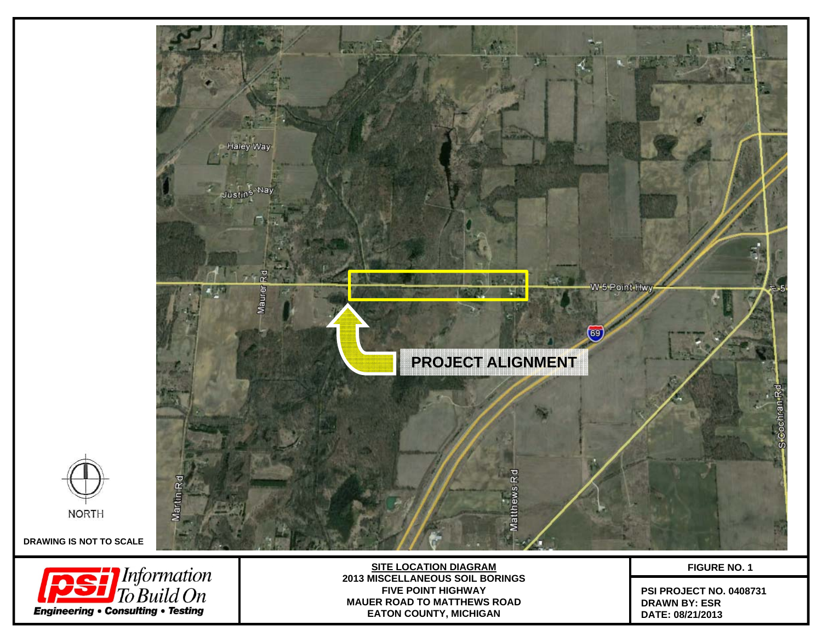



**DRAWING IS NOT TO SCALE**



**SITE LOCATION DIAGRAM 2013 MISCELLANEOUS SOIL BORINGSFIVE POINT HIGHWAYMAUER ROAD TO MATTHEWS ROAD EATON COUNTY, MICHIGAN**

**FIGURE NO. 1**

**PSI PROJECT NO. 0408731 DRAWN BY: ESRDATE: 08/21/2013**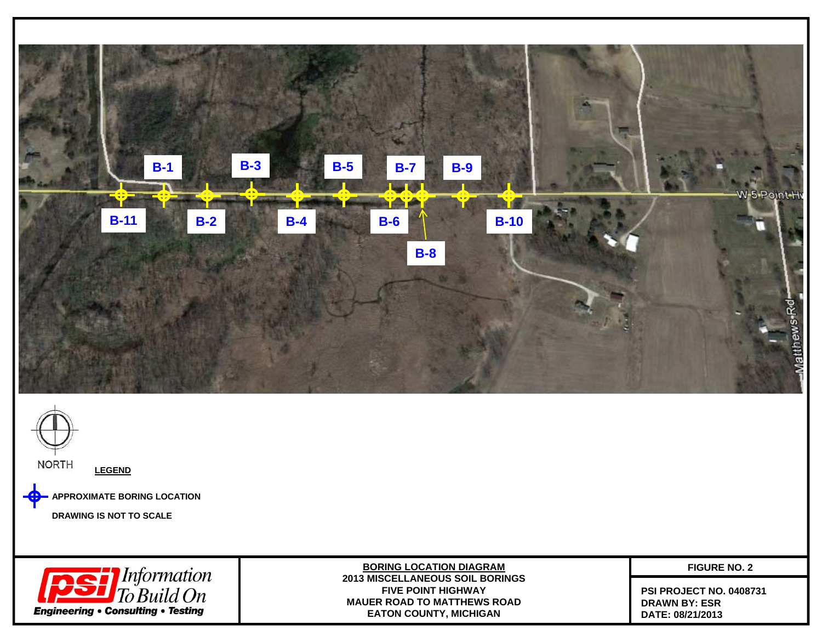



**APPROXIMATE BORING LOCATION**

**DRAWING IS NOT TO SCALE**



**BORING LOCATION DIAGRAM 2013 MISCELLANEOUS SOIL BORINGSFIVE POINT HIGHWAYMAUER ROAD TO MATTHEWS ROAD EATON COUNTY, MICHIGAN**

**FIGURE NO. 2**

**PSI PROJECT NO. 0408731 DRAWN BY: ESRDATE: 08/21/2013**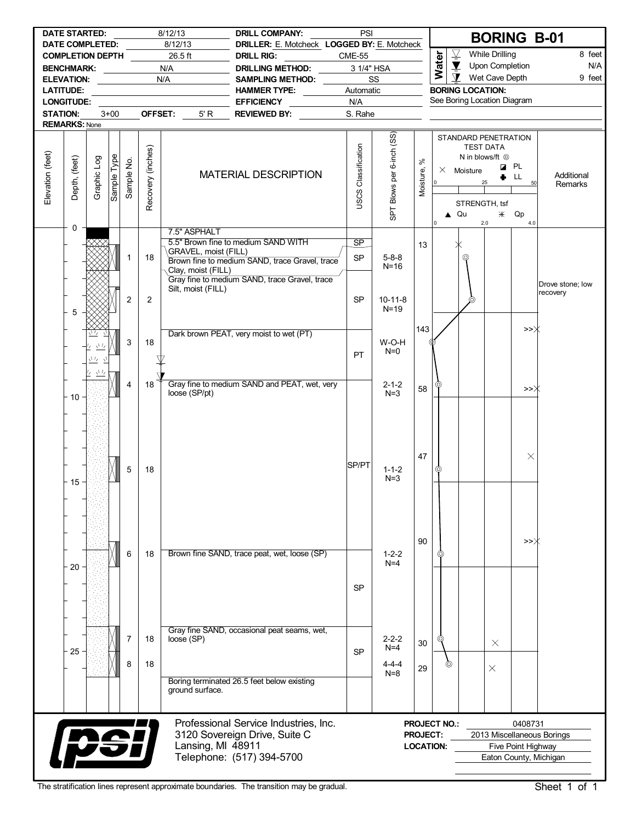|                                     | <b>DATE STARTED:</b> |                                     |                    |                |                   | 8/12/13                                    | <b>DRILL COMPANY:</b>                                                                                                                  | PSI                        |                                              |                 |                                         |                             |                                                | <b>BORING B-01</b>                                      |                              |
|-------------------------------------|----------------------|-------------------------------------|--------------------|----------------|-------------------|--------------------------------------------|----------------------------------------------------------------------------------------------------------------------------------------|----------------------------|----------------------------------------------|-----------------|-----------------------------------------|-----------------------------|------------------------------------------------|---------------------------------------------------------|------------------------------|
| DATE COMPLETED:<br>COMPLETION DEPTH |                      |                                     |                    |                |                   | 8/12/13<br>26.5 ft                         | DRILLER: E. Motcheck LOGGED BY: E. Motcheck<br><b>DRILL RIG:</b>                                                                       | <b>CME-55</b>              |                                              |                 |                                         | $\overline{\mathcal{Y}}$    | <b>While Drilling</b>                          |                                                         | 8 feet                       |
| BENCHMARK: N/A                      |                      |                                     |                    |                |                   |                                            | DRILLING METHOD:                                                                                                                       |                            | 3 1/4" HSA                                   |                 | Water                                   | $\blacktriangledown$        | Upon Completion                                |                                                         | N/A                          |
| ELEVATION: ____________             |                      |                                     |                    |                |                   | N/A                                        | SAMPLING METHOD:                                                                                                                       |                            | SS                                           |                 |                                         | $\mathbf{\Sigma}$           | Wet Cave Depth                                 |                                                         | 9 feet                       |
| <b>LATITUDE:</b>                    |                      |                                     |                    |                |                   | <u> 1980 - Johann Barbara, martxa al</u>   | HAMMER TYPE: _______                                                                                                                   | Automatic                  |                                              |                 |                                         | <b>BORING LOCATION:</b>     |                                                |                                                         |                              |
|                                     | <b>LONGITUDE:</b>    |                                     |                    |                |                   |                                            | EFFICIENCY ___________                                                                                                                 | N/A                        |                                              |                 |                                         | See Boring Location Diagram |                                                |                                                         |                              |
| <b>STATION:</b>                     |                      |                                     | $3+00$             |                |                   | OFFSET:<br>5' R                            | <b>REVIEWED BY:</b>                                                                                                                    | S. Rahe                    |                                              |                 |                                         |                             |                                                |                                                         |                              |
| <b>REMARKS: None</b>                |                      |                                     |                    |                |                   |                                            |                                                                                                                                        |                            |                                              |                 |                                         |                             |                                                |                                                         |                              |
|                                     |                      |                                     |                    |                |                   |                                            |                                                                                                                                        |                            |                                              | $\aleph$        |                                         | STANDARD PENETRATION        | <b>TEST DATA</b><br>N in blows/ft <sup>©</sup> |                                                         |                              |
| Elevation (feet)                    | Depth, (feet)        | Graphic Log                         | <b>Sample Type</b> | Sample No.     | Recovery (inches) |                                            | <b>MATERIAL DESCRIPTION</b>                                                                                                            | <b>USCS Classification</b> | SPT Blows per 6-inch (SS)                    | Moisture,       | $\overline{\phantom{0}}$                | $\times$ Moisture           | 25<br>STRENGTH, tsf                            | <b>Z</b> PL<br>LL.<br>50                                | Additional<br>Remarks        |
|                                     | 0                    |                                     |                    |                |                   | 7.5" ASPHALT                               |                                                                                                                                        |                            |                                              |                 | I٥                                      | $\triangle$ Qu              | 2.0                                            | $*$ Qp<br>4.0                                           |                              |
|                                     |                      |                                     |                    | 1              | 18                | GRAVEL, moist (FILL)<br>Clay, moist (FILL) | 5.5" Brown fine to medium SAND WITH<br>Brown fine to medium SAND, trace Gravel, trace<br>Gray fine to medium SAND, trace Gravel, trace | <b>SP</b><br><b>SP</b>     | $5 - 8 - 8$<br>$N = 16$                      | 13              |                                         | ⊚                           |                                                |                                                         |                              |
|                                     | 5                    |                                     |                    | $\overline{2}$ | $\overline{2}$    | Silt, moist (FILL)                         |                                                                                                                                        | <b>SP</b>                  | $10-11-8$<br>$N=19$                          |                 |                                         | ⊚                           |                                                |                                                         | Drove stone; low<br>recovery |
|                                     |                      | さち<br>$\underline{\Delta L_{\ell}}$ |                    | 3              | 18                |                                            | Dark brown PEAT, very moist to wet (PT)                                                                                                | PT                         | W-O-H<br>$N=0$                               | 143             |                                         |                             |                                                | >>Ж                                                     |                              |
|                                     | $-10$                | $\frac{\sqrt{1}}{2}$                |                    | 4              | 18                | loose (SP/pt)                              | Gray fine to medium SAND and PEAT, wet, very                                                                                           |                            | $2 - 1 - 2$<br>$N=3$                         | 58              |                                         |                             |                                                | >>∦                                                     |                              |
|                                     | 15                   |                                     |                    | 5              | 18                |                                            |                                                                                                                                        | SP/PT                      | $1 - 1 - 2$<br>$N=3$                         | 47              |                                         |                             |                                                | $\times$                                                |                              |
|                                     | 20                   |                                     |                    | 6              | 18                |                                            | Brown fine SAND, trace peat, wet, loose (SP)                                                                                           | <b>SP</b>                  | $1 - 2 - 2$<br>$N=4$                         | 90              | O)                                      |                             |                                                | >>Ж                                                     |                              |
|                                     | 25                   |                                     |                    | 7<br>8         | 18<br>18          | loose (SP)                                 | Gray fine SAND, occasional peat seams, wet,                                                                                            | <b>SP</b>                  | $2 - 2 - 2$<br>$N=4$<br>$4 - 4 - 4$<br>$N=8$ | 30<br>29        | 0                                       | ලා                          | $\times$<br>$\times$                           |                                                         |                              |
|                                     |                      |                                     |                    |                |                   | ground surface.                            | Boring terminated 26.5 feet below existing                                                                                             |                            |                                              |                 |                                         |                             |                                                |                                                         |                              |
|                                     | <b>psi</b>           |                                     |                    |                |                   | Lansing, MI 48911                          | Professional Service Industries, Inc.<br>3120 Sovereign Drive, Suite C<br>Telephone: (517) 394-5700                                    |                            |                                              | <b>PROJECT:</b> | <b>PROJECT NO.:</b><br><b>LOCATION:</b> |                             |                                                | 0408731<br>Five Point Highway<br>Eaton County, Michigan | 2013 Miscellaneous Borings   |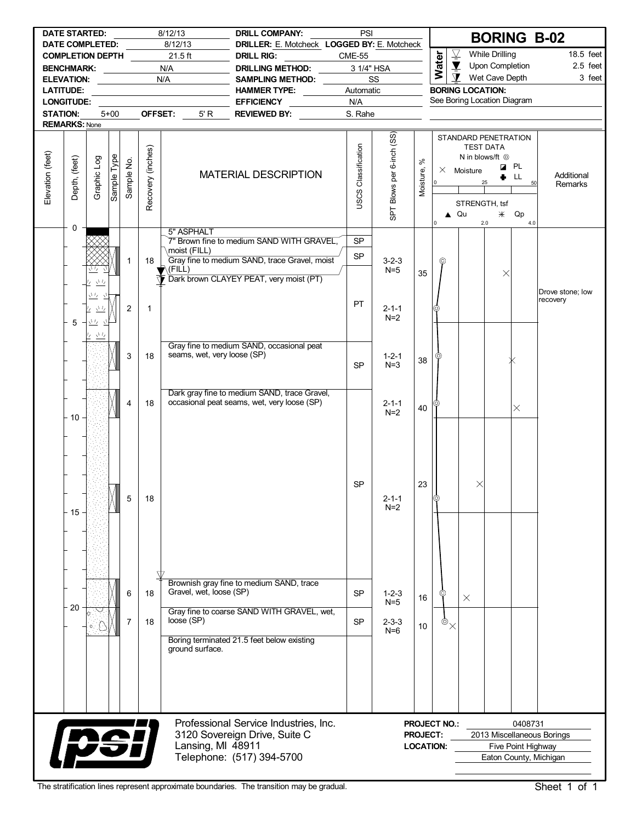|                  | <b>DATE STARTED:</b>                              |                                                                        |             |            |                   | 8/12/13                                    |                                      |                   | <b>DRILL COMPANY:</b>                                                                                                                 | PSI                         |                           |                                     |                     |                                           |                                                      |                    |         | <b>BORING B-02</b>           |
|------------------|---------------------------------------------------|------------------------------------------------------------------------|-------------|------------|-------------------|--------------------------------------------|--------------------------------------|-------------------|---------------------------------------------------------------------------------------------------------------------------------------|-----------------------------|---------------------------|-------------------------------------|---------------------|-------------------------------------------|------------------------------------------------------|--------------------|---------|------------------------------|
|                  | <b>DATE COMPLETED:</b>                            |                                                                        |             |            |                   | 8/12/13<br>$21.5$ ft                       |                                      |                   | DRILLER: E. Motcheck LOGGED BY: E. Motcheck                                                                                           |                             |                           |                                     |                     | $\overline{\underline{\nabla}}$           | <b>While Drilling</b>                                |                    |         | 18.5 feet                    |
|                  | <b>COMPLETION DEPTH</b><br>BENCHMARK: ___________ |                                                                        |             |            |                   | N/A                                        |                                      | <b>DRILL RIG:</b> | <b>DRILLING METHOD:</b>                                                                                                               | <b>CME-55</b><br>3 1/4" HSA |                           |                                     | Water               | $\blacktriangledown$                      |                                                      | Upon Completion    |         | $2.5$ feet                   |
|                  | ELEVATION: ___________                            |                                                                        |             |            |                   | N/A                                        |                                      |                   | SAMPLING METHOD:                                                                                                                      | SS                          |                           |                                     |                     | $\mathbf T$                               |                                                      | Wet Cave Depth     |         | 3 feet                       |
|                  | <b>LATITUDE:</b>                                  |                                                                        |             |            |                   | <u> 1990 - Johann Barn, mars ann an t-</u> |                                      |                   | <b>HAMMER TYPE:</b>                                                                                                                   | Automatic                   |                           |                                     |                     | <b>BORING LOCATION:</b>                   |                                                      |                    |         |                              |
|                  | <b>LONGITUDE:</b>                                 |                                                                        |             |            |                   |                                            |                                      |                   | EFFICIENCY __________                                                                                                                 | N/A                         |                           |                                     |                     | See Boring Location Diagram               |                                                      |                    |         |                              |
| <b>STATION:</b>  |                                                   |                                                                        | $5 + 00$    |            | OFFSET:           |                                            | 5' R                                 |                   | REVIEWED BY:                                                                                                                          | S. Rahe                     |                           |                                     |                     |                                           |                                                      |                    |         |                              |
|                  | <b>REMARKS: None</b>                              |                                                                        |             |            |                   |                                            |                                      |                   |                                                                                                                                       |                             |                           |                                     |                     |                                           |                                                      |                    |         |                              |
| Elevation (feet) | Depth, (feet)                                     | Graphic Log                                                            | ed∧⊥ əldure | Sample No. | Recovery (inches) |                                            |                                      |                   | <b>MATERIAL DESCRIPTION</b>                                                                                                           | USCS Classification         | SPT Blows per 6-inch (SS) | $\aleph$<br>Moisture,               | 0                   | STANDARD PENETRATION<br>$\times$ Moisture | <b>TEST DATA</b><br>N in blows/ft <sup>©</sup><br>25 | <b>Z</b> PL<br>LL  | 50      | Additional<br>Remarks        |
|                  |                                                   |                                                                        |             |            |                   |                                            |                                      |                   |                                                                                                                                       |                             |                           |                                     |                     | ▲ Qu                                      | STRENGTH, tsf                                        | $*$<br>Qp          |         |                              |
|                  | 0                                                 |                                                                        |             |            |                   |                                            | 5" ASPHALT                           |                   |                                                                                                                                       |                             |                           |                                     | 0                   |                                           | 2.0                                                  |                    | $4.0\,$ |                              |
|                  |                                                   | 业                                                                      |             | 1          | 18                | $\blacktriangledown$ (FILL)                | moist (FILL)                         |                   | 7" Brown fine to medium SAND WITH GRAVEL,<br>Gray fine to medium SAND, trace Gravel, moist<br>Dark brown CLAYEY PEAT, very moist (PT) | <b>SP</b><br>SP             | $3 - 2 - 3$<br>$N=5$      | 35                                  | ⊚                   |                                           |                                                      | $\times$           |         |                              |
|                  | 5                                                 | $\sqrt{l_{Z}}$<br>$\sqrt{L}$<br>17<br>$\underline{\Lambda^I\nu}$<br>さち |             | 2          | $\mathbf{1}$      |                                            |                                      |                   |                                                                                                                                       | PT                          | $2 - 1 - 1$<br>$N=2$      |                                     |                     |                                           |                                                      |                    |         | Drove stone: low<br>recovery |
|                  |                                                   |                                                                        |             | 3          | 18                |                                            | seams, wet, very loose (SP)          |                   | Gray fine to medium SAND, occasional peat                                                                                             | <b>SP</b>                   | $1 - 2 - 1$<br>$N=3$      | 38                                  |                     |                                           |                                                      |                    |         |                              |
|                  | $-10$                                             |                                                                        |             | 4          | 18                |                                            |                                      |                   | Dark gray fine to medium SAND, trace Gravel,<br>occasional peat seams, wet, very loose (SP)                                           |                             | $2 - 1 - 1$<br>$N=2$      | 40                                  |                     |                                           |                                                      | $\times$           |         |                              |
|                  | - 15                                              |                                                                        |             | 5          | 18                |                                            |                                      |                   |                                                                                                                                       | SP                          | $2 - 1 - 1$<br>$N=2$      | 23                                  | (ට)                 |                                           | $\times$                                             |                    |         |                              |
|                  | 20                                                |                                                                        |             | 6          | 18                |                                            | Gravel, wet, loose (SP)              |                   | Brownish gray fine to medium SAND, trace                                                                                              | <b>SP</b>                   | $1 - 2 - 3$<br>$N=5$      | 16                                  | ⊚                   | $\times$                                  |                                                      |                    |         |                              |
|                  |                                                   |                                                                        |             | 7          | 18                | loose (SP)                                 |                                      |                   | Gray fine to coarse SAND WITH GRAVEL, wet,<br>Boring terminated 21.5 feet below existing                                              | <b>SP</b>                   | $2 - 3 - 3$<br>$N=6$      | 10                                  | $\phi^{\times}$     |                                           |                                                      |                    |         |                              |
|                  |                                                   |                                                                        |             |            |                   |                                            | ground surface.<br>Lansing, MI 48911 |                   | Professional Service Industries, Inc.<br>3120 Sovereign Drive, Suite C                                                                |                             |                           | <b>PROJECT:</b><br><b>LOCATION:</b> | <b>PROJECT NO.:</b> |                                           |                                                      | Five Point Highway | 0408731 | 2013 Miscellaneous Borings   |
|                  | <b>pei</b>                                        |                                                                        |             |            |                   |                                            | Telephone: (517) 394-5700            |                   |                                                                                                                                       |                             |                           |                                     |                     |                                           |                                                      |                    |         | Eaton County, Michigan       |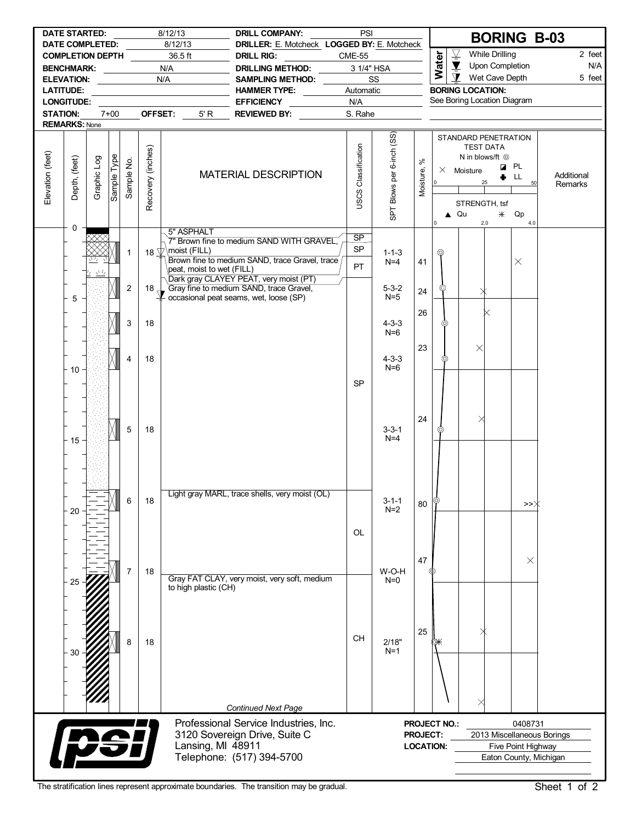|                  | <b>DATE STARTED:</b><br>DATE COMPLETED: |             |             |                         |                   | 8/12/13<br>8/12/13                                                                                                                                                                                  | <b>DRILL COMPANY:</b><br>DRILLER: E. Motcheck LOGGED BY: E. Motcheck                            | PSI                 |                           |                 |                  |                          |                                                                   | <b>BORING B-03</b>         |            |
|------------------|-----------------------------------------|-------------|-------------|-------------------------|-------------------|-----------------------------------------------------------------------------------------------------------------------------------------------------------------------------------------------------|-------------------------------------------------------------------------------------------------|---------------------|---------------------------|-----------------|------------------|--------------------------|-------------------------------------------------------------------|----------------------------|------------|
|                  | <b>COMPLETION DEPTH</b>                 |             |             |                         |                   | 36.5 ft                                                                                                                                                                                             | <b>DRILL RIG:</b>                                                                               | <b>CME-55</b>       |                           |                 |                  | $\overline{\mathcal{L}}$ | <b>While Drilling</b>                                             |                            | 2 feet     |
|                  | <b>BENCHMARK:</b>                       |             |             |                         |                   | N/A                                                                                                                                                                                                 | <b>DRILLING METHOD:</b>                                                                         |                     | 3 1/4" HSA                |                 | Water            | $\blacktriangledown$     | Upon Completion                                                   |                            | N/A        |
|                  |                                         |             |             |                         |                   | N/A                                                                                                                                                                                                 | SAMPLING METHOD:                                                                                |                     | SS                        |                 |                  | $\mathbf{\Sigma}$        | Wet Cave Depth                                                    |                            | 5 feet     |
|                  | <b>LATITUDE:</b>                        |             |             |                         |                   | $\mathcal{L}^{\mathcal{L}}(\mathcal{L}^{\mathcal{L}})$ and $\mathcal{L}^{\mathcal{L}}(\mathcal{L}^{\mathcal{L}})$ . Then the contribution of $\mathcal{L}^{\mathcal{L}}(\mathcal{L}^{\mathcal{L}})$ | <b>HAMMER TYPE:</b>                                                                             | Automatic           |                           |                 |                  |                          | <b>BORING LOCATION:</b>                                           |                            |            |
|                  | <b>LONGITUDE:</b>                       |             |             |                         |                   |                                                                                                                                                                                                     | EFFICIENCY __________                                                                           | N/A                 |                           |                 |                  |                          | See Boring Location Diagram                                       |                            |            |
| <b>STATION:</b>  |                                         |             | $7+00$      |                         | OFFSET:           | 5' R                                                                                                                                                                                                | <b>REVIEWED BY:</b>                                                                             | S. Rahe             |                           |                 |                  |                          |                                                                   |                            |            |
|                  | <b>REMARKS: None</b>                    |             |             |                         |                   |                                                                                                                                                                                                     |                                                                                                 |                     |                           |                 |                  |                          |                                                                   |                            |            |
|                  |                                         |             |             |                         | Recovery (inches) |                                                                                                                                                                                                     |                                                                                                 | USCS Classification | SPT Blows per 6-inch (SS) |                 |                  |                          | STANDARD PENETRATION<br><b>TEST DATA</b><br>N in blows/ft $\odot$ |                            |            |
|                  |                                         |             |             |                         |                   |                                                                                                                                                                                                     |                                                                                                 |                     |                           | వి              |                  |                          |                                                                   | <b>Z</b> PL                |            |
|                  |                                         |             |             |                         |                   |                                                                                                                                                                                                     | <b>MATERIAL DESCRIPTION</b>                                                                     |                     |                           |                 |                  | $\times$ Moisture        | ۰                                                                 | LL.                        | Additional |
| Elevation (feet) | Depth, (feet)                           | Graphic Log | Sample Type | Sample No.              |                   |                                                                                                                                                                                                     |                                                                                                 |                     |                           | Moisture,       | l o              |                          |                                                                   | 50                         | Remarks    |
|                  |                                         |             |             |                         |                   |                                                                                                                                                                                                     |                                                                                                 |                     |                           |                 |                  |                          | STRENGTH, tsf                                                     |                            |            |
|                  |                                         |             |             |                         |                   |                                                                                                                                                                                                     |                                                                                                 |                     |                           |                 |                  | $\triangle$ Qu           |                                                                   | $\divideontimes$ Qp        |            |
|                  | 0                                       |             |             |                         |                   |                                                                                                                                                                                                     |                                                                                                 |                     |                           |                 | $\mathbf 0$      |                          | 2.0                                                               | 4.0                        |            |
|                  | 5" ASPHALT                              |             |             |                         |                   |                                                                                                                                                                                                     |                                                                                                 | SP                  |                           |                 |                  |                          |                                                                   |                            |            |
|                  |                                         |             |             |                         |                   | 18 $\forall$ moist (FILL)                                                                                                                                                                           | 7" Brown fine to medium SAND WITH GRAVEL,                                                       | <b>SP</b>           |                           |                 |                  |                          |                                                                   |                            |            |
|                  |                                         |             |             | 1                       |                   |                                                                                                                                                                                                     | Brown fine to medium SAND, trace Gravel, trace                                                  |                     | $1 - 1 - 3$<br>$N=4$      | 41              | ⊚                |                          |                                                                   | $\times$                   |            |
|                  |                                         | ぃち          |             |                         |                   | peat, moist to wet (FILL)                                                                                                                                                                           |                                                                                                 | PT.                 |                           |                 |                  |                          |                                                                   |                            |            |
|                  |                                         |             |             |                         |                   |                                                                                                                                                                                                     | Dark gray CLAYEY PEAT, very moist (PT)                                                          |                     |                           |                 |                  |                          |                                                                   |                            |            |
|                  | 5                                       |             |             | $\overline{\mathbf{c}}$ | $18 +$            |                                                                                                                                                                                                     | Gray fine to medium SAND, trace Gravel,<br>$\frac{1}{2}$ occasional peat seams, wet, loose (SP) |                     | $5 - 3 - 2$<br>$N=5$      | 24              | ⊚                |                          |                                                                   |                            |            |
|                  |                                         |             |             |                         |                   |                                                                                                                                                                                                     |                                                                                                 |                     |                           |                 |                  |                          |                                                                   |                            |            |
|                  |                                         |             |             |                         |                   |                                                                                                                                                                                                     |                                                                                                 |                     |                           | 26              |                  |                          |                                                                   |                            |            |
|                  |                                         |             |             | 3                       | 18                |                                                                                                                                                                                                     |                                                                                                 |                     | $4 - 3 - 3$<br>$N=6$      |                 | ⊚                |                          |                                                                   |                            |            |
|                  |                                         |             |             |                         |                   |                                                                                                                                                                                                     |                                                                                                 |                     |                           |                 |                  |                          |                                                                   |                            |            |
|                  | 4<br>18                                 |             |             |                         |                   |                                                                                                                                                                                                     |                                                                                                 |                     |                           | 23              |                  |                          | $\times$                                                          |                            |            |
|                  | 10                                      |             |             |                         |                   |                                                                                                                                                                                                     |                                                                                                 |                     | $4 - 3 - 3$<br>$N=6$      |                 | ⊚                |                          |                                                                   |                            |            |
|                  |                                         |             |             |                         |                   |                                                                                                                                                                                                     |                                                                                                 |                     |                           |                 |                  |                          |                                                                   |                            |            |
|                  |                                         |             |             |                         |                   |                                                                                                                                                                                                     |                                                                                                 | <b>SP</b>           |                           |                 |                  |                          |                                                                   |                            |            |
|                  |                                         |             |             |                         |                   |                                                                                                                                                                                                     |                                                                                                 |                     |                           |                 |                  |                          |                                                                   |                            |            |
|                  |                                         |             |             |                         |                   |                                                                                                                                                                                                     |                                                                                                 |                     |                           |                 |                  |                          |                                                                   |                            |            |
|                  |                                         |             |             |                         |                   |                                                                                                                                                                                                     |                                                                                                 |                     |                           | 24              |                  |                          |                                                                   |                            |            |
|                  |                                         |             |             | 5                       | 18                |                                                                                                                                                                                                     |                                                                                                 |                     | $3 - 3 - 1$               |                 | ⊚                |                          |                                                                   |                            |            |
|                  | 15                                      |             |             |                         |                   |                                                                                                                                                                                                     |                                                                                                 |                     | $N=4$                     |                 |                  |                          |                                                                   |                            |            |
|                  |                                         |             |             |                         |                   |                                                                                                                                                                                                     |                                                                                                 |                     |                           |                 |                  |                          |                                                                   |                            |            |
|                  |                                         |             |             |                         |                   |                                                                                                                                                                                                     |                                                                                                 |                     |                           |                 |                  |                          |                                                                   |                            |            |
|                  |                                         |             |             |                         |                   |                                                                                                                                                                                                     |                                                                                                 |                     |                           |                 |                  |                          |                                                                   |                            |            |
|                  |                                         |             |             |                         |                   |                                                                                                                                                                                                     | Light gray MARL, trace shells, very moist (OL)                                                  |                     |                           |                 |                  |                          |                                                                   |                            |            |
|                  |                                         |             |             | 6                       | 18                |                                                                                                                                                                                                     |                                                                                                 |                     | $3 - 1 - 1$               | 80              |                  |                          |                                                                   | >>                         |            |
|                  | 20                                      |             |             |                         |                   |                                                                                                                                                                                                     |                                                                                                 |                     | $N=2$                     |                 |                  |                          |                                                                   |                            |            |
|                  |                                         |             |             |                         |                   |                                                                                                                                                                                                     |                                                                                                 |                     |                           |                 |                  |                          |                                                                   |                            |            |
|                  |                                         |             |             |                         |                   |                                                                                                                                                                                                     |                                                                                                 | OL                  |                           |                 |                  |                          |                                                                   |                            |            |
|                  |                                         |             |             |                         |                   |                                                                                                                                                                                                     |                                                                                                 |                     |                           |                 |                  |                          |                                                                   |                            |            |
|                  |                                         |             |             |                         |                   |                                                                                                                                                                                                     |                                                                                                 |                     |                           | 47              |                  |                          |                                                                   | $\times$                   |            |
|                  |                                         |             |             | 7                       | 18                |                                                                                                                                                                                                     |                                                                                                 |                     | W-O-H                     |                 |                  |                          |                                                                   |                            |            |
|                  | 25                                      |             |             |                         |                   | to high plastic (CH)                                                                                                                                                                                | Gray FAT CLAY, very moist, very soft, medium                                                    |                     | $N=0$                     |                 |                  |                          |                                                                   |                            |            |
|                  |                                         |             |             |                         |                   |                                                                                                                                                                                                     |                                                                                                 |                     |                           |                 |                  |                          |                                                                   |                            |            |
|                  |                                         |             |             |                         |                   |                                                                                                                                                                                                     |                                                                                                 |                     |                           |                 |                  |                          |                                                                   |                            |            |
|                  |                                         |             |             |                         |                   |                                                                                                                                                                                                     |                                                                                                 |                     |                           |                 |                  |                          |                                                                   |                            |            |
|                  |                                         |             |             |                         |                   |                                                                                                                                                                                                     |                                                                                                 |                     |                           | 25              |                  |                          |                                                                   |                            |            |
|                  | 18<br>8                                 |             |             |                         |                   |                                                                                                                                                                                                     |                                                                                                 | CH                  | 2/18"                     |                 |                  |                          |                                                                   |                            |            |
|                  |                                         |             |             |                         |                   |                                                                                                                                                                                                     |                                                                                                 |                     | $N=1$                     |                 |                  |                          |                                                                   |                            |            |
|                  |                                         |             |             |                         |                   |                                                                                                                                                                                                     |                                                                                                 |                     |                           |                 |                  |                          |                                                                   |                            |            |
|                  |                                         |             |             |                         |                   |                                                                                                                                                                                                     |                                                                                                 |                     |                           |                 |                  |                          |                                                                   |                            |            |
|                  |                                         |             |             |                         |                   |                                                                                                                                                                                                     |                                                                                                 |                     |                           |                 |                  |                          |                                                                   |                            |            |
|                  |                                         |             |             |                         |                   |                                                                                                                                                                                                     |                                                                                                 |                     |                           |                 |                  |                          | ×                                                                 |                            |            |
|                  |                                         |             |             |                         |                   |                                                                                                                                                                                                     | <b>Continued Next Page</b>                                                                      |                     |                           |                 |                  |                          |                                                                   |                            |            |
|                  |                                         |             |             |                         |                   |                                                                                                                                                                                                     | Professional Service Industries, Inc.                                                           |                     |                           |                 | PROJECT NO.:     |                          |                                                                   | 0408731                    |            |
|                  |                                         |             |             |                         |                   |                                                                                                                                                                                                     | 3120 Sovereign Drive, Suite C                                                                   |                     |                           | <b>PROJECT:</b> |                  |                          |                                                                   | 2013 Miscellaneous Borings |            |
|                  |                                         | <b>09</b>   |             |                         |                   | Lansing, MI 48911                                                                                                                                                                                   |                                                                                                 |                     |                           |                 | <b>LOCATION:</b> |                          |                                                                   | Five Point Highway         |            |
|                  |                                         |             |             |                         |                   | Telephone: (517) 394-5700                                                                                                                                                                           |                                                                                                 |                     |                           |                 |                  |                          | Eaton County, Michigan                                            |                            |            |
|                  |                                         |             |             |                         |                   |                                                                                                                                                                                                     |                                                                                                 |                     |                           |                 |                  |                          |                                                                   |                            |            |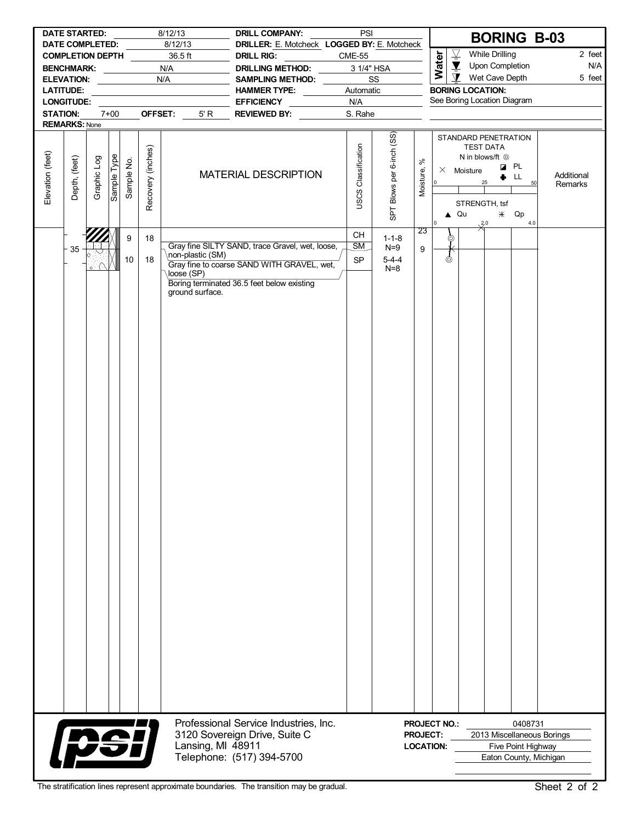|                  | <b>DATE STARTED:</b>                              |             |             |            |                   | 8/12/13                       | <b>DRILL COMPANY:</b>                                            |               | PSI                        |                           |                 | <b>BORING B-03</b>                                                                                                                                                                                                                                 |
|------------------|---------------------------------------------------|-------------|-------------|------------|-------------------|-------------------------------|------------------------------------------------------------------|---------------|----------------------------|---------------------------|-----------------|----------------------------------------------------------------------------------------------------------------------------------------------------------------------------------------------------------------------------------------------------|
|                  | <b>DATE COMPLETED:</b><br><b>COMPLETION DEPTH</b> |             |             |            |                   | 8/12/13<br>36.5 ft            | DRILLER: E. Motcheck LOGGED BY: E. Motcheck<br><b>DRILL RIG:</b> | <b>CME-55</b> |                            |                           |                 | $\overline{\mathcal{L}}$<br><b>While Drilling</b><br>2 feet                                                                                                                                                                                        |
|                  | <b>BENCHMARK:</b>                                 |             |             |            |                   | N/A                           | DRILLING METHOD: _____                                           |               |                            | 3 1/4" HSA                |                 | Water<br>$\blacktriangledown$<br>Upon Completion<br>N/A                                                                                                                                                                                            |
|                  | <b>ELEVATION:</b>                                 |             |             |            |                   | N/A                           | SAMPLING METHOD:                                                 |               |                            | SS                        |                 | $\mathbf{\Sigma}$<br>Wet Cave Depth<br>5 feet                                                                                                                                                                                                      |
|                  | <b>LATITUDE:</b>                                  |             |             |            |                   |                               | HAMMER TYPE:                                                     |               | Automatic                  |                           |                 | <b>BORING LOCATION:</b>                                                                                                                                                                                                                            |
|                  | <b>LONGITUDE:</b>                                 |             |             |            |                   |                               | <b>EFFICIENCY</b>                                                | N/A           |                            |                           |                 | See Boring Location Diagram                                                                                                                                                                                                                        |
| <b>STATION:</b>  |                                                   |             | $7 + 00$    |            | OFFSET:           | 5' R                          | REVIEWED BY:                                                     |               | S. Rahe                    |                           |                 |                                                                                                                                                                                                                                                    |
|                  | <b>REMARKS: None</b>                              |             |             |            |                   |                               |                                                                  |               |                            |                           |                 |                                                                                                                                                                                                                                                    |
| Elevation (feet) | Depth, (feet)                                     | Graphic Log | Sample Type | Sample No. | Recovery (inches) |                               | <b>MATERIAL DESCRIPTION</b>                                      |               | <b>USCS Classification</b> | SPT Blows per 6-inch (SS) | వ్<br>Moisture, | STANDARD PENETRATION<br><b>TEST DATA</b><br>N in blows/ft $\odot$<br><b>Z</b> PL<br>$\times$ Moisture<br>Additional<br>LL.<br>۰<br>$ 0 \rangle$<br>25<br>50<br>Remarks<br>STRENGTH, tsf<br>$\triangle$ Qu<br>$*$<br>Qp<br>4.0<br>$\mathbf 0$<br>30 |
|                  |                                                   |             |             | 9          | 18                |                               |                                                                  |               | <b>CH</b>                  | $1 - 1 - 8$               | 23              | ⊚                                                                                                                                                                                                                                                  |
|                  | 35                                                |             |             |            |                   | \non-plastic (SM)             | Gray fine SILTY SAND, trace Gravel, wet, loose,                  |               | SM                         | $N=9$                     | 9               |                                                                                                                                                                                                                                                    |
|                  |                                                   |             |             | 10         | 18                |                               | Gray fine to coarse SAND WITH GRAVEL, wet,                       |               | <b>SP</b>                  | $5 - 4 - 4$               |                 | ർ                                                                                                                                                                                                                                                  |
|                  |                                                   |             |             |            |                   | loose (SP)<br>ground surface. | Boring terminated 36.5 feet below existing                       |               |                            | $N=8$                     |                 |                                                                                                                                                                                                                                                    |
|                  |                                                   |             |             |            |                   |                               | Professional Service Industries, Inc.                            |               |                            |                           |                 | <b>PROJECT NO.:</b><br>0408731                                                                                                                                                                                                                     |
|                  |                                                   |             |             |            |                   |                               | 3120 Sovereign Drive, Suite C                                    |               |                            |                           |                 | PROJECT:<br>2013 Miscellaneous Borings                                                                                                                                                                                                             |
|                  |                                                   |             |             |            |                   | Lansing, MI 48911             |                                                                  |               |                            |                           |                 | <b>LOCATION:</b><br>Five Point Highway                                                                                                                                                                                                             |
|                  | <b>PSi</b>                                        |             |             |            |                   |                               | Telephone: (517) 394-5700                                        |               |                            |                           |                 | Eaton County, Michigan                                                                                                                                                                                                                             |

J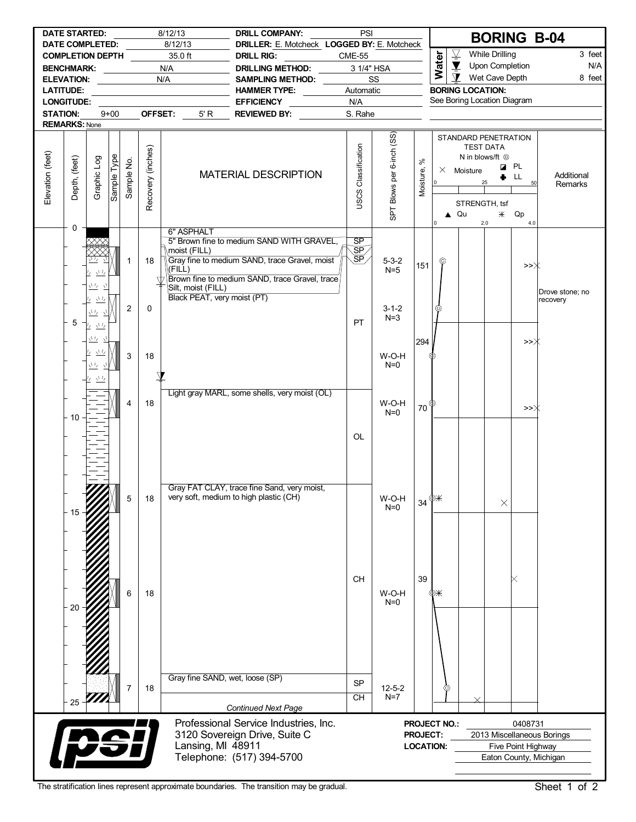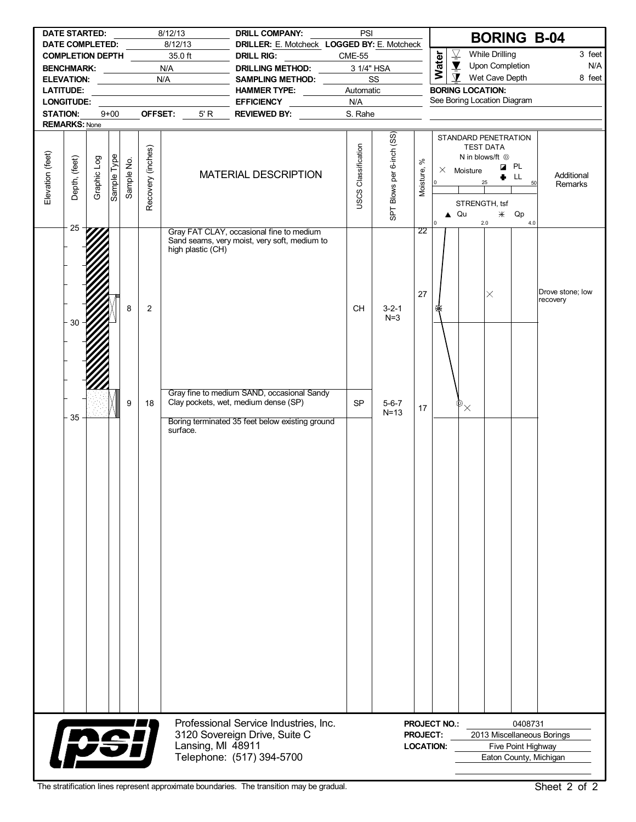|                  |                                       | <b>DATE STARTED:</b><br>DATE COMPLETED: |             |            |                   | 8/12/13<br>8/12/13                | <b>DRILL COMPANY:</b><br>DRILLER: E. Motcheck LOGGED BY: E. Motcheck                                | PSI                 |                           |                                     |                                 |                                                                                              |                               | <b>BORING B-04</b>                                   |
|------------------|---------------------------------------|-----------------------------------------|-------------|------------|-------------------|-----------------------------------|-----------------------------------------------------------------------------------------------------|---------------------|---------------------------|-------------------------------------|---------------------------------|----------------------------------------------------------------------------------------------|-------------------------------|------------------------------------------------------|
|                  |                                       | <b>COMPLETION DEPTH</b>                 |             |            |                   | 35.0 ft                           | <b>DRILL RIG:</b>                                                                                   | <b>CME-55</b>       |                           |                                     | $\overline{\underline{\nabla}}$ | <b>While Drilling</b>                                                                        |                               | 3 feet                                               |
|                  |                                       | <b>BENCHMARK:</b>                       |             |            |                   | N/A                               | <b>DRILLING METHOD:</b>                                                                             |                     | 3 1/4" HSA                |                                     | Water                           | $\overline{\mathbf{Y}}$<br>Upon Completion                                                   |                               | N/A                                                  |
|                  |                                       | ELEVATION: ____________                 |             |            |                   | N/A                               | SAMPLING METHOD:                                                                                    |                     | SS                        |                                     |                                 | $\mathbf{\Sigma}$<br>Wet Cave Depth                                                          |                               | 8 feet                                               |
|                  | <b>LATITUDE:</b><br><b>LONGITUDE:</b> |                                         |             |            |                   | the control of the control of the | HAMMER TYPE:<br><b>EFFICIENCY</b>                                                                   | Automatic<br>N/A    |                           |                                     |                                 | <b>BORING LOCATION:</b><br>See Boring Location Diagram                                       |                               |                                                      |
| <b>STATION:</b>  |                                       |                                         | $9 + 00$    |            |                   | OFFSET:<br>5' R                   | $\frac{1}{2}$ and $\frac{1}{2}$ and $\frac{1}{2}$<br>REVIEWED BY:                                   | S. Rahe             |                           |                                     |                                 |                                                                                              |                               |                                                      |
|                  | <b>REMARKS: None</b>                  |                                         |             |            |                   |                                   |                                                                                                     |                     |                           |                                     |                                 |                                                                                              |                               |                                                      |
| Elevation (feet) | Depth, (feet)                         | Graphic Log                             | Sample Type | Sample No. | Recovery (inches) |                                   | <b>MATERIAL DESCRIPTION</b>                                                                         | USCS Classification | SPT Blows per 6-inch (SS) | వి<br>Moisture,                     | lo l                            | STANDARD PENETRATION<br><b>TEST DATA</b><br>N in blows/ft $\odot$<br>$\times$ Moisture<br>25 | <b>Z</b> PL<br>LL<br>۰        | Additional<br>50<br>Remarks                          |
|                  |                                       |                                         |             |            |                   |                                   |                                                                                                     |                     |                           |                                     | $\mathbf 0$                     | STRENGTH, tsf<br>$\triangle$ Qu<br>2.0                                                       | $*$ Qp<br>4.0                 |                                                      |
|                  | 25                                    |                                         |             |            |                   | high plastic (CH)                 | Gray FAT CLAY, occasional fine to medium<br>Sand seams, very moist, very soft, medium to            |                     |                           | $\overline{22}$                     |                                 |                                                                                              |                               |                                                      |
|                  | 30                                    |                                         |             | 8          | $\overline{2}$    |                                   |                                                                                                     | <b>CH</b>           | $3 - 2 - 1$<br>$N=3$      | 27                                  | 礟                               | $\times$                                                                                     |                               | Drove stone; low<br>recovery                         |
|                  |                                       |                                         |             |            |                   |                                   | Gray fine to medium SAND, occasional Sandy                                                          |                     |                           |                                     |                                 |                                                                                              |                               |                                                      |
|                  | 35                                    |                                         |             | 9          | 18                | surface.                          | Clay pockets, wet, medium dense (SP)<br>Boring terminated 35 feet below existing ground             | <b>SP</b>           | $5 - 6 - 7$<br>$N=13$     | 17                                  |                                 | $\Phi_{\times}$                                                                              |                               |                                                      |
|                  |                                       |                                         |             |            |                   |                                   |                                                                                                     |                     |                           |                                     |                                 |                                                                                              |                               |                                                      |
|                  |                                       | <b>psi</b>                              |             |            |                   | Lansing, MI 48911                 | Professional Service Industries, Inc.<br>3120 Sovereign Drive, Suite C<br>Telephone: (517) 394-5700 |                     |                           | <b>PROJECT:</b><br><b>LOCATION:</b> | <b>PROJECT NO.:</b>             |                                                                                              | 0408731<br>Five Point Highway | 2013 Miscellaneous Borings<br>Eaton County, Michigan |

J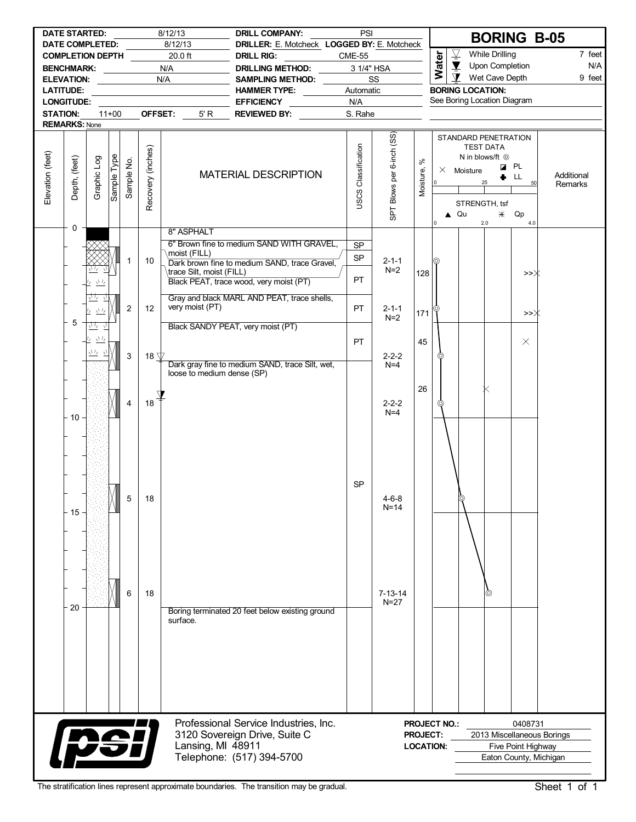|                  | <b>DATE STARTED:</b><br>DATE COMPLETED: |                             |             |                               |                            | 8/12/13<br>8/12/13                      | <b>DRILL COMPANY:</b><br>DRILLER: E. Motcheck LOGGED BY: E. Motcheck                                | PSI                        |                           |                 |                                         |                                                                                             |                       | <b>BORING B-05</b>                                                                    |            |
|------------------|-----------------------------------------|-----------------------------|-------------|-------------------------------|----------------------------|-----------------------------------------|-----------------------------------------------------------------------------------------------------|----------------------------|---------------------------|-----------------|-----------------------------------------|---------------------------------------------------------------------------------------------|-----------------------|---------------------------------------------------------------------------------------|------------|
|                  | <b>COMPLETION DEPTH</b>                 |                             |             |                               |                            | 20.0 ft                                 | <b>DRILL RIG:</b>                                                                                   | <b>CME-55</b>              |                           |                 |                                         | $\overline{\mathcal{L}}$                                                                    | <b>While Drilling</b> |                                                                                       | 7 feet     |
|                  | <b>BENCHMARK:</b>                       |                             |             |                               |                            | N/A                                     | <b>DRILLING METHOD:</b>                                                                             | 3 1/4" HSA                 |                           |                 | Water                                   | $\blacktriangledown$                                                                        | Upon Completion       |                                                                                       | N/A        |
|                  | <b>ELEVATION:</b>                       |                             |             | the company of the company of |                            | N/A                                     | SAMPLING METHOD:                                                                                    |                            | SS                        |                 |                                         | $\mathbf{\Sigma}$                                                                           | Wet Cave Depth        |                                                                                       | 9 feet     |
|                  | <b>LATITUDE:</b>                        |                             |             |                               |                            | <u> 1989 - Johann Barn, mars et al.</u> | <b>HAMMER TYPE:</b>                                                                                 | Automatic                  |                           |                 |                                         | <b>BORING LOCATION:</b>                                                                     |                       |                                                                                       |            |
|                  | <b>LONGITUDE:</b>                       |                             |             |                               |                            |                                         | <b>EFFICIENCY</b>                                                                                   | N/A                        |                           |                 |                                         | See Boring Location Diagram                                                                 |                       |                                                                                       |            |
| <b>STATION:</b>  |                                         |                             | $11+00$     |                               | OFFSET:                    | 5' R                                    | <b>REVIEWED BY:</b>                                                                                 | S. Rahe                    |                           |                 |                                         |                                                                                             |                       |                                                                                       |            |
|                  | <b>REMARKS: None</b>                    |                             |             |                               |                            |                                         |                                                                                                     |                            |                           |                 |                                         |                                                                                             |                       |                                                                                       |            |
| Elevation (feet) | Depth, (feet)                           | Graphic Log                 | Sample Type | Sample No.                    | Recovery (inches)          |                                         | <b>MATERIAL DESCRIPTION</b>                                                                         | <b>USCS Classification</b> | SPT Blows per 6-inch (SS) | వి              |                                         | STANDARD PENETRATION<br><b>TEST DATA</b><br>N in blows/ft <sup>@</sup><br>$\times$ Moisture | ۰                     | <b>Z</b> PL<br>LL.                                                                    | Additional |
|                  | 0                                       |                             |             |                               |                            |                                         |                                                                                                     |                            |                           | Moisture,       | lo l<br>I٥                              | 25<br>STRENGTH, tsf<br>$\triangle$ Qu<br>2.0                                                | $*$                   | 50<br>Qp<br>4.0                                                                       | Remarks    |
|                  |                                         |                             |             |                               |                            | 8" ASPHALT                              |                                                                                                     |                            |                           |                 |                                         |                                                                                             |                       |                                                                                       |            |
|                  |                                         |                             |             |                               |                            |                                         | 6" Brown fine to medium SAND WITH GRAVEL,                                                           | <b>SP</b>                  |                           |                 |                                         |                                                                                             |                       |                                                                                       |            |
|                  |                                         |                             |             | $\mathbf{1}$                  | 10                         | moist (FILL)                            | Dark brown fine to medium SAND, trace Gravel,                                                       | <b>SP</b>                  | $2 - 1 - 1$               |                 |                                         |                                                                                             |                       |                                                                                       |            |
|                  |                                         | 立ち                          |             |                               |                            | \trace Silt, moist (FILL)               |                                                                                                     |                            | $N=2$                     | 128             |                                         |                                                                                             |                       | >>Ж                                                                                   |            |
|                  |                                         | $\sqrt{1/\sqrt{2}}$<br>4    |             |                               |                            |                                         | Black PEAT, trace wood, very moist (PT)                                                             | PT.                        |                           |                 |                                         |                                                                                             |                       |                                                                                       |            |
|                  | 5                                       | 莝<br><u>ケ きな</u><br>さな      |             | $\overline{2}$                | 12                         | very moist (PT)                         | Gray and black MARL AND PEAT, trace shells,                                                         | <b>PT</b>                  | $2 - 1 - 1$<br>$N=2$      | 171             |                                         |                                                                                             |                       | >>〉                                                                                   |            |
|                  |                                         | $\mathcal{N}I_{\mathbb{Z}}$ |             |                               |                            |                                         | Black SANDY PEAT, very moist (PT)                                                                   |                            |                           |                 |                                         |                                                                                             |                       |                                                                                       |            |
|                  |                                         | 丛                           |             |                               |                            |                                         |                                                                                                     | PT.                        |                           | 45              |                                         |                                                                                             |                       | $\times$                                                                              |            |
|                  |                                         |                             |             | 3                             | 18 $\overline{\mathbb{V}}$ | loose to medium dense (SP)              | Dark gray fine to medium SAND, trace Silt, wet,                                                     |                            | $2 - 2 - 2$<br>$N=4$      |                 | O)                                      |                                                                                             |                       |                                                                                       |            |
|                  | $-10$                                   |                             |             | $\overline{4}$                | 18                         |                                         |                                                                                                     |                            | $2 - 2 - 2$<br>$N=4$      | 26              | ⊚                                       |                                                                                             |                       |                                                                                       |            |
|                  | $-15$                                   |                             | - 4         | 5                             | 18                         |                                         |                                                                                                     | <b>SP</b>                  | $4 - 6 - 8$<br>$N=14$     |                 |                                         |                                                                                             |                       |                                                                                       |            |
|                  | 20                                      |                             |             | 6                             | 18                         | surface.                                | Boring terminated 20 feet below existing ground                                                     |                            | $7 - 13 - 14$<br>$N=27$   |                 |                                         |                                                                                             | ⊚                     |                                                                                       |            |
|                  | <b>pei</b>                              |                             |             |                               |                            | Lansing, MI 48911                       | Professional Service Industries, Inc.<br>3120 Sovereign Drive, Suite C<br>Telephone: (517) 394-5700 |                            |                           | <b>PROJECT:</b> | <b>PROJECT NO.:</b><br><b>LOCATION:</b> |                                                                                             |                       | 0408731<br>2013 Miscellaneous Borings<br>Five Point Highway<br>Eaton County, Michigan |            |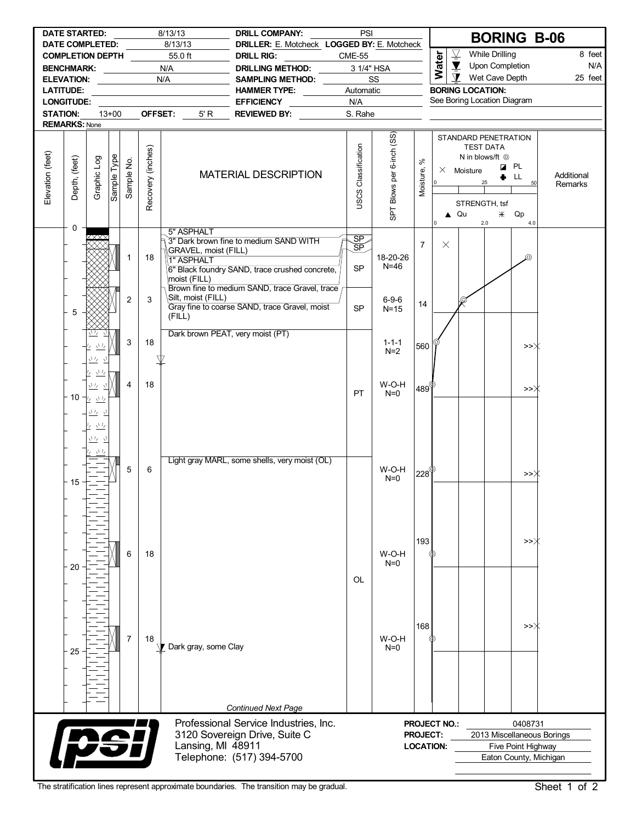|                  | <b>DATE STARTED:</b><br><b>DATE COMPLETED:</b>                      |                                |             |            |                   | 8/13/13<br>8/13/13                                 | <b>DRILL COMPANY:</b><br>DRILLER: E. Motcheck LOGGED BY: E. Motcheck                                | PSI                          |                           |                                                        |                     |                                                                                                                    | <b>BORING B-06</b>                                                         |         |                       |
|------------------|---------------------------------------------------------------------|--------------------------------|-------------|------------|-------------------|----------------------------------------------------|-----------------------------------------------------------------------------------------------------|------------------------------|---------------------------|--------------------------------------------------------|---------------------|--------------------------------------------------------------------------------------------------------------------|----------------------------------------------------------------------------|---------|-----------------------|
|                  | <b>COMPLETION DEPTH</b>                                             |                                |             |            |                   | 55.0 ft                                            | <b>DRILL RIG:</b>                                                                                   | <b>CME-55</b>                |                           |                                                        | <b>Water</b>        | $\overline{\underline{\nabla}}$                                                                                    | <b>While Drilling</b>                                                      |         | 8 feet                |
|                  | <b>BENCHMARK:</b>                                                   |                                |             |            |                   | N/A                                                | DRILLING METHOD:                                                                                    | 3 1/4" HSA                   |                           |                                                        |                     | $\blacktriangledown$                                                                                               | Upon Completion                                                            |         | N/A                   |
|                  | ELEVATION: _____________                                            |                                |             |            |                   | N/A                                                | SAMPLING METHOD:                                                                                    |                              | SS                        |                                                        |                     | $\mathbf{\Sigma}$                                                                                                  | Wet Cave Depth                                                             |         | 25 feet               |
|                  | <b>LATITUDE:</b>                                                    |                                |             |            |                   |                                                    | <b>HAMMER TYPE:</b>                                                                                 | Automatic                    |                           |                                                        |                     | <b>BORING LOCATION:</b>                                                                                            |                                                                            |         |                       |
|                  | <b>LONGITUDE:</b>                                                   |                                |             |            |                   |                                                    | <b>EFFICIENCY</b>                                                                                   | N/A                          |                           |                                                        |                     | See Boring Location Diagram                                                                                        |                                                                            |         |                       |
| <b>STATION:</b>  |                                                                     |                                | $13+00$     |            | OFFSET:           | 5' R                                               | REVIEWED BY:                                                                                        | S. Rahe                      |                           |                                                        |                     |                                                                                                                    |                                                                            |         |                       |
|                  | <b>REMARKS: None</b>                                                |                                |             |            |                   |                                                    |                                                                                                     |                              |                           |                                                        |                     |                                                                                                                    |                                                                            |         |                       |
| Elevation (feet) | Depth, (feet)                                                       | Graphic Log                    | Sample Type | Sample No. | Recovery (inches) |                                                    | <b>MATERIAL DESCRIPTION</b>                                                                         | <b>USCS Classification</b>   | SPT Blows per 6-inch (SS) | $\aleph$<br>Moisture,                                  | 0                   | STANDARD PENETRATION<br><b>TEST DATA</b><br>N in blows/ft <sup>@</sup><br>$\times$ Moisture<br>25<br>STRENGTH, tsf | <b>Z</b> PL<br>LL.                                                         |         | Additional<br>Remarks |
|                  | 0                                                                   |                                |             |            |                   | 5" ASPHALT                                         |                                                                                                     |                              |                           |                                                        | 0                   | $\triangle$ Qu<br>2.0                                                                                              | $*$ Qp                                                                     | 4.0     |                       |
|                  |                                                                     | ⋌⋇⋇∿                           |             | 1          | 18                | GRAVEL, moist (FILL)<br>1" ASPHALT<br>moist (FILL) | 3" Dark brown fine to medium SAND WITH<br>6" Black foundry SAND, trace crushed concrete,            | $\frac{SP}{SP}$<br><b>SP</b> | 18-20-26<br>$N=46$        | $\overline{7}$                                         | $\times$            |                                                                                                                    |                                                                            | ⊚       |                       |
|                  | $\overline{2}$<br>3<br>5<br>(FILL)<br>3<br>18                       |                                |             |            |                   | Silt, moist (FILL)                                 | Brown fine to medium SAND, trace Gravel, trace<br>Gray fine to coarse SAND, trace Gravel, moist     | <b>SP</b>                    | $6 - 9 - 6$<br>$N=15$     | 14                                                     |                     | Ç                                                                                                                  |                                                                            |         |                       |
|                  | $\frac{\sqrt{1}}{2}$<br>₽∠.<br>业<br>$\bar{\tau}_l$<br>さち<br>ι,<br>4 |                                |             |            |                   | Dark brown PEAT, very moist (PT)                   |                                                                                                     |                              | $1 - 1 - 1$<br>$N=2$      | 560                                                    |                     |                                                                                                                    |                                                                            | >>∦     |                       |
|                  | 18<br>立友立<br>10<br>セマル<br>业。<br>$\gamma$                            |                                |             |            |                   |                                                    |                                                                                                     | <b>PT</b>                    | W-O-H<br>$N=0$            | $^{\shortmid}$ 489 $^{\circ\!\!\! ( \varphi \!\!\! )}$ |                     |                                                                                                                    |                                                                            | >>      |                       |
|                  | 15                                                                  | $\frac{\sqrt{1}I_2}{2}$<br>立友立 |             | 5          | 6                 |                                                    | Light gray MARL, some shells, very moist (OL)                                                       |                              | W-O-H<br>$N=0$            | $\mathsf{I}228^\mathsf{\circledcirc}$                  |                     |                                                                                                                    |                                                                            | >>∦     |                       |
|                  | 20                                                                  |                                |             | 6          | 18                |                                                    |                                                                                                     | OL                           | W-O-H<br>$N=0$            | 193                                                    |                     |                                                                                                                    |                                                                            | >>∦     |                       |
|                  | 25                                                                  |                                |             | 7          | 18                | Dark gray, some Clay                               |                                                                                                     |                              | W-O-H<br>$N=0$            | 168                                                    |                     |                                                                                                                    |                                                                            | >>〉     |                       |
|                  |                                                                     |                                |             |            |                   |                                                    | <b>Continued Next Page</b>                                                                          |                              |                           |                                                        |                     |                                                                                                                    |                                                                            |         |                       |
|                  |                                                                     |                                |             |            |                   | Lansing, MI 48911                                  | Professional Service Industries, Inc.<br>3120 Sovereign Drive, Suite C<br>Telephone: (517) 394-5700 |                              |                           | <b>PROJECT:</b><br><b>LOCATION:</b>                    | <b>PROJECT NO.:</b> |                                                                                                                    | 2013 Miscellaneous Borings<br>Five Point Highway<br>Eaton County, Michigan | 0408731 |                       |

The stratification lines represent approximate boundaries. The transition may be gradual. Sheet 1 of 2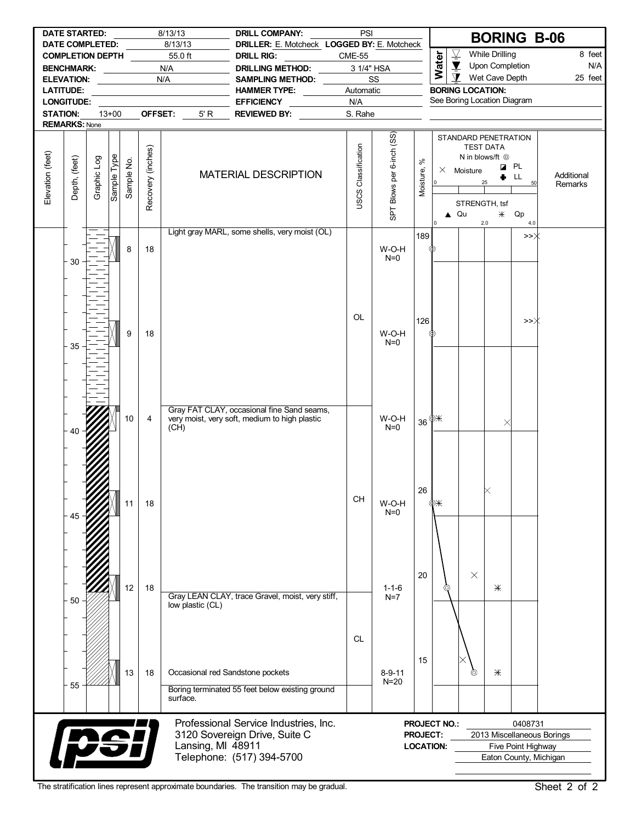|                  |                                          | <b>DATE STARTED:</b>                       |             |                            |                   | 8/13/13                           | <b>DRILL COMPANY:</b>                                                                       | PSI                        |                           |                       |                                |                          |                                                                   | <b>BORING B-06</b>         |            |
|------------------|------------------------------------------|--------------------------------------------|-------------|----------------------------|-------------------|-----------------------------------|---------------------------------------------------------------------------------------------|----------------------------|---------------------------|-----------------------|--------------------------------|--------------------------|-------------------------------------------------------------------|----------------------------|------------|
|                  |                                          | DATE COMPLETED:<br><b>COMPLETION DEPTH</b> |             |                            |                   | 8/13/13<br>55.0 ft                | DRILLER: E. Motcheck LOGGED BY: E. Motcheck<br><b>DRILL RIG:</b>                            | <b>CME-55</b>              |                           |                       |                                | $\overline{\mathcal{Y}}$ | <b>While Drilling</b>                                             |                            | 8 feet     |
|                  |                                          | BENCHMARK: __________                      |             |                            |                   | N/A                               | <b>DRILLING METHOD:</b>                                                                     |                            | 3 1/4" HSA                |                       | Water                          | $\overline{\mathbf{X}}$  | Upon Completion                                                   |                            | N/A        |
|                  | <b>ELEVATION:</b>                        |                                            |             | the company of the company |                   | N/A                               | <b>SAMPLING METHOD:</b>                                                                     |                            | SS                        |                       |                                | $\mathbf{\Sigma}$        | Wet Cave Depth                                                    |                            | 25 feet    |
|                  | <b>LATITUDE:</b>                         |                                            |             |                            |                   | the control of the control of the | <b>HAMMER TYPE:</b><br>$\frac{1}{2}$                                                        | Automatic                  |                           |                       |                                |                          | <b>BORING LOCATION:</b>                                           |                            |            |
|                  | LONGITUDE:                               |                                            |             |                            |                   |                                   | <b>EFFICIENCY</b>                                                                           | N/A                        |                           |                       |                                |                          | See Boring Location Diagram                                       |                            |            |
| <b>STATION:</b>  |                                          |                                            | $13+00$     |                            | OFFSET:           | 5' R                              | REVIEWED BY:                                                                                | S. Rahe                    |                           |                       |                                |                          |                                                                   |                            |            |
|                  | <b>REMARKS: None</b>                     |                                            |             |                            |                   |                                   |                                                                                             |                            |                           |                       |                                |                          |                                                                   |                            |            |
|                  |                                          |                                            |             |                            |                   |                                   |                                                                                             |                            | SPT Blows per 6-inch (SS) |                       |                                |                          | STANDARD PENETRATION<br><b>TEST DATA</b><br>N in blows/ft $\odot$ |                            |            |
| Elevation (feet) | Depth, (feet)                            | Graphic Log                                | Sample Type | Sample No.                 | Recovery (inches) |                                   | MATERIAL DESCRIPTION                                                                        | <b>USCS Classification</b> |                           | $\aleph$<br>Moisture, | 0                              | $\times$ Moisture        |                                                                   | <b>Z</b> PL<br>LL<br>50    | Additional |
|                  |                                          |                                            |             |                            |                   |                                   |                                                                                             |                            |                           |                       |                                |                          | STRENGTH, tsf                                                     |                            | Remarks    |
|                  |                                          |                                            |             |                            |                   |                                   |                                                                                             |                            |                           |                       |                                | $\triangle$ Qu           | $*$<br>2.0                                                        | Qp<br>4.0                  |            |
|                  |                                          |                                            |             |                            |                   |                                   | Light gray MARL, some shells, very moist (OL)                                               |                            |                           | 189                   |                                |                          |                                                                   | >>Ж                        |            |
|                  | 30                                       |                                            |             | 8                          | 18                |                                   |                                                                                             |                            | W-O-H<br>$N=0$            |                       | ℗                              |                          |                                                                   |                            |            |
|                  |                                          |                                            |             |                            |                   |                                   |                                                                                             |                            |                           |                       |                                |                          |                                                                   |                            |            |
|                  |                                          |                                            |             |                            |                   |                                   |                                                                                             |                            |                           |                       |                                |                          |                                                                   |                            |            |
|                  |                                          |                                            |             |                            |                   |                                   |                                                                                             | OL                         |                           | 126                   |                                |                          |                                                                   | >>〉                        |            |
|                  | 35                                       |                                            |             | 9                          | 18                |                                   |                                                                                             |                            | W-O-H<br>$N=0$            |                       | Ф                              |                          |                                                                   |                            |            |
|                  |                                          |                                            |             |                            |                   |                                   |                                                                                             |                            |                           |                       |                                |                          |                                                                   |                            |            |
|                  |                                          |                                            |             |                            |                   |                                   |                                                                                             |                            |                           |                       |                                |                          |                                                                   |                            |            |
|                  |                                          |                                            |             |                            |                   |                                   |                                                                                             |                            |                           |                       |                                |                          |                                                                   |                            |            |
|                  |                                          |                                            |             | 10                         | $\overline{4}$    |                                   | Gray FAT CLAY, occasional fine Sand seams,<br>very moist, very soft, medium to high plastic |                            | W-O-H<br>$N=0$            |                       | $36 \frac{\text{m}}{\text{m}}$ |                          |                                                                   | $\times$                   |            |
|                  | 40                                       |                                            |             |                            |                   | (CH)                              |                                                                                             |                            |                           |                       |                                |                          |                                                                   |                            |            |
|                  |                                          |                                            |             |                            |                   |                                   |                                                                                             |                            |                           |                       |                                |                          |                                                                   |                            |            |
|                  |                                          |                                            |             |                            |                   |                                   |                                                                                             |                            |                           |                       |                                |                          |                                                                   |                            |            |
|                  |                                          |                                            |             | 11                         | 18                |                                   |                                                                                             | CH                         | W-O-H                     | 26                    | ΦЖ                             |                          |                                                                   |                            |            |
|                  |                                          |                                            |             |                            |                   |                                   |                                                                                             |                            | $N=0$                     |                       |                                |                          |                                                                   |                            |            |
|                  |                                          |                                            |             |                            |                   |                                   |                                                                                             |                            |                           |                       |                                |                          |                                                                   |                            |            |
|                  |                                          |                                            |             |                            |                   |                                   |                                                                                             |                            |                           |                       |                                |                          |                                                                   |                            |            |
|                  |                                          |                                            |             | 12                         | 18                |                                   |                                                                                             |                            | $1 - 1 - 6$               | 20                    |                                | $\times$                 | $*$                                                               |                            |            |
|                  | 50                                       |                                            |             |                            |                   | low plastic (CL)                  | Gray LEAN CLAY, trace Gravel, moist, very stiff,                                            |                            | $N=7$                     |                       |                                |                          |                                                                   |                            |            |
|                  |                                          |                                            |             |                            |                   |                                   |                                                                                             |                            |                           |                       |                                |                          |                                                                   |                            |            |
|                  |                                          |                                            |             |                            |                   |                                   |                                                                                             | <b>CL</b>                  |                           |                       |                                |                          |                                                                   |                            |            |
|                  |                                          |                                            |             |                            |                   |                                   |                                                                                             |                            |                           | 15                    |                                |                          |                                                                   |                            |            |
|                  | 55                                       |                                            |             | 13                         | 18                |                                   | Occasional red Sandstone pockets<br>Boring terminated 55 feet below existing ground         |                            | $8 - 9 - 11$<br>$N=20$    |                       |                                | ⊚                        | Ж                                                                 |                            |            |
|                  |                                          |                                            |             |                            |                   | surface.                          |                                                                                             |                            |                           |                       |                                |                          |                                                                   |                            |            |
|                  |                                          |                                            |             |                            |                   |                                   | Professional Service Industries, Inc.                                                       |                            |                           |                       | PROJECT NO.:                   |                          |                                                                   | 0408731                    |            |
|                  |                                          |                                            |             |                            |                   |                                   | 3120 Sovereign Drive, Suite C                                                               |                            |                           | <b>PROJECT:</b>       |                                |                          |                                                                   | 2013 Miscellaneous Borings |            |
|                  |                                          |                                            |             |                            |                   | Lansing, MI 48911                 |                                                                                             |                            |                           |                       | <b>LOCATION:</b>               |                          |                                                                   | Five Point Highway         |            |
|                  | <b>Ipsi</b><br>Telephone: (517) 394-5700 |                                            |             |                            |                   |                                   |                                                                                             |                            |                           |                       |                                |                          |                                                                   | Eaton County, Michigan     |            |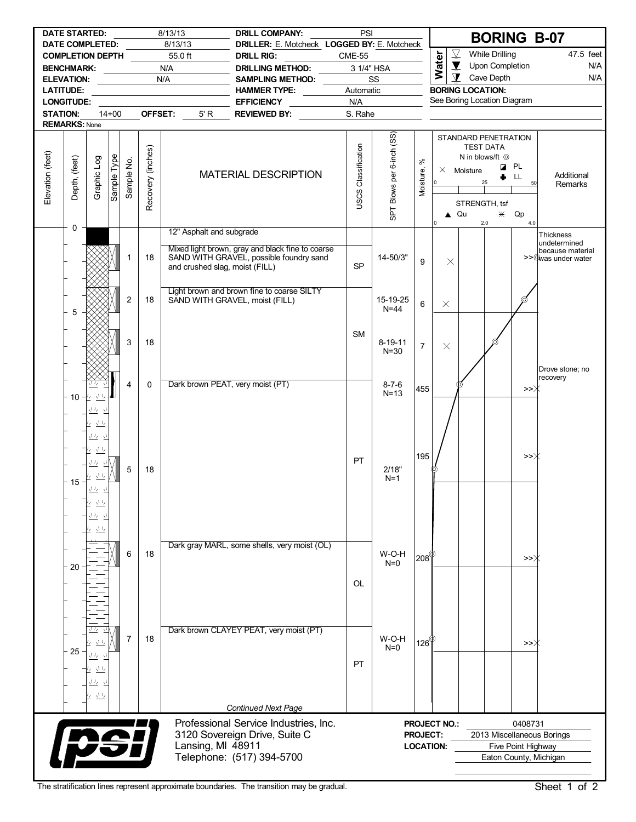|                  | <b>DATE STARTED:</b>                  |                                           |             |                |                   | 8/13/13                                 | <b>DRILL COMPANY:</b>                                                                                    | PSI                 |                           |                  |                     |                                                        |                                           |                    | <b>BORING B-07</b>         |
|------------------|---------------------------------------|-------------------------------------------|-------------|----------------|-------------------|-----------------------------------------|----------------------------------------------------------------------------------------------------------|---------------------|---------------------------|------------------|---------------------|--------------------------------------------------------|-------------------------------------------|--------------------|----------------------------|
|                  | <b>DATE COMPLETED:</b>                |                                           |             |                |                   | 8/13/13                                 | DRILLER: E. Motcheck LOGGED BY: E. Motcheck                                                              |                     |                           |                  |                     | $\overline{\mathcal{Y}}$                               | <b>While Drilling</b>                     |                    | 47.5 feet                  |
|                  | COMPLETION DEPTH                      |                                           |             |                |                   | 55.0 ft                                 | <b>DRILL RIG:</b>                                                                                        | <b>CME-55</b>       |                           |                  | Water               | $\blacktriangledown$                                   | Upon Completion                           |                    | N/A                        |
|                  | BENCHMARK: ___________                |                                           |             |                |                   | N/A                                     | DRILLING METHOD:                                                                                         | 3 1/4" HSA          |                           |                  |                     | $\mathbf{\Sigma}$                                      | Cave Depth                                |                    | N/A                        |
|                  | ELEVATION: _____________              |                                           |             |                |                   | N/A                                     | <b>SAMPLING METHOD:</b>                                                                                  |                     | SS                        |                  |                     |                                                        |                                           |                    |                            |
|                  | <b>LATITUDE:</b><br><b>LONGITUDE:</b> |                                           |             |                |                   | <u> 1980 - Johann Barbara, martxa a</u> | HAMMER TYPE: NAMMER TYPE:                                                                                | Automatic<br>N/A    |                           |                  |                     | <b>BORING LOCATION:</b><br>See Boring Location Diagram |                                           |                    |                            |
|                  |                                       |                                           | $14 + 00$   |                |                   |                                         | <b>EFFICIENCY</b><br>$\mathcal{L}^{\text{max}}_{\text{max}}$ and $\mathcal{L}^{\text{max}}_{\text{max}}$ |                     |                           |                  |                     |                                                        |                                           |                    |                            |
| <b>STATION:</b>  | <b>REMARKS: None</b>                  |                                           |             |                | OFFSET:           | 5' R                                    | REVIEWED BY:                                                                                             | S. Rahe             |                           |                  |                     |                                                        |                                           |                    |                            |
|                  |                                       |                                           |             |                |                   |                                         |                                                                                                          |                     |                           |                  |                     | STANDARD PENETRATION                                   |                                           |                    |                            |
|                  |                                       |                                           |             |                | Recovery (inches) |                                         |                                                                                                          | JSCS Classification | SPT Blows per 6-inch (SS) |                  |                     |                                                        | <b>TEST DATA</b><br>N in blows/ft $\odot$ |                    |                            |
| Elevation (feet) | Depth, (feet)                         | Graphic Log                               | Sample Type | Sample No.     |                   |                                         |                                                                                                          |                     |                           | $\aleph$         |                     | $\times$ Moisture                                      |                                           | <b>Z</b> PL        |                            |
|                  |                                       |                                           |             |                |                   |                                         | <b>MATERIAL DESCRIPTION</b>                                                                              |                     |                           | Moisture,        | lo l                |                                                        | 25                                        | LL.<br>50          | Additional<br>Remarks      |
|                  |                                       |                                           |             |                |                   |                                         |                                                                                                          |                     |                           |                  |                     |                                                        |                                           |                    |                            |
|                  |                                       |                                           |             |                |                   |                                         |                                                                                                          |                     |                           |                  |                     | STRENGTH, tsf                                          |                                           |                    |                            |
|                  |                                       |                                           |             |                |                   |                                         |                                                                                                          |                     |                           |                  |                     | $\triangle$ Qu                                         | $*$                                       | Qp                 |                            |
|                  | 0                                     |                                           |             |                |                   |                                         |                                                                                                          |                     |                           |                  | I٥                  |                                                        | 2.0                                       | 4.0                |                            |
|                  |                                       |                                           |             |                |                   | 12" Asphalt and subgrade                |                                                                                                          |                     |                           |                  |                     |                                                        |                                           |                    | Thickness<br>undetermined  |
|                  |                                       |                                           |             |                |                   |                                         | Mixed light brown, gray and black fine to coarse                                                         |                     |                           |                  |                     |                                                        |                                           |                    | because material           |
|                  |                                       |                                           |             | 1              | 18                | and crushed slag, moist (FILL)          | SAND WITH GRAVEL, possible foundry sand                                                                  | <b>SP</b>           | 14-50/3"                  | 9                | $\times$            |                                                        |                                           |                    | >>@was under water         |
|                  |                                       |                                           |             |                |                   |                                         |                                                                                                          |                     |                           |                  |                     |                                                        |                                           |                    |                            |
|                  |                                       |                                           |             |                |                   |                                         |                                                                                                          |                     |                           |                  |                     |                                                        |                                           |                    |                            |
|                  |                                       |                                           |             | $\overline{c}$ | 18                |                                         | Light brown and brown fine to coarse SILTY<br>SAND WITH GRAVEL, moist (FILL)                             |                     | 15-19-25                  |                  |                     |                                                        |                                           | 6                  |                            |
|                  | 5                                     |                                           |             |                |                   |                                         |                                                                                                          |                     | $N = 44$                  | 6                | $\times$            |                                                        |                                           |                    |                            |
|                  |                                       |                                           |             |                |                   |                                         |                                                                                                          |                     |                           |                  |                     |                                                        |                                           |                    |                            |
|                  |                                       |                                           |             |                |                   |                                         |                                                                                                          | <b>SM</b>           |                           |                  |                     |                                                        |                                           |                    |                            |
|                  | 3<br>18                               |                                           |             |                |                   |                                         |                                                                                                          |                     | $8 - 19 - 11$             | $\overline{7}$   | $\times$            |                                                        |                                           |                    |                            |
|                  |                                       |                                           |             |                |                   |                                         |                                                                                                          |                     | $N = 30$                  |                  |                     |                                                        |                                           |                    |                            |
|                  |                                       |                                           |             |                |                   |                                         |                                                                                                          |                     |                           |                  |                     |                                                        |                                           |                    | Drove stone; no            |
|                  |                                       |                                           |             | 4              | $\mathbf{0}$      |                                         | Dark brown PEAT, very moist (PT)                                                                         |                     | $8 - 7 - 6$               |                  |                     |                                                        |                                           |                    | recovery                   |
|                  |                                       | 10 业 业                                    |             |                |                   |                                         |                                                                                                          |                     | $N=13$                    | 455              |                     |                                                        |                                           | >>)                |                            |
|                  |                                       |                                           |             |                |                   |                                         |                                                                                                          |                     |                           |                  |                     |                                                        |                                           |                    |                            |
|                  |                                       | 立ち立                                       |             |                |                   |                                         |                                                                                                          |                     |                           |                  |                     |                                                        |                                           |                    |                            |
|                  |                                       | $\underline{\Delta L}$<br>Ι7              |             |                |                   |                                         |                                                                                                          |                     |                           |                  |                     |                                                        |                                           |                    |                            |
|                  |                                       | 立友 立                                      |             |                |                   |                                         |                                                                                                          |                     |                           |                  |                     |                                                        |                                           |                    |                            |
|                  |                                       | <u>ケ きち</u>                               |             |                |                   |                                         |                                                                                                          |                     |                           |                  |                     |                                                        |                                           |                    |                            |
|                  |                                       | いち                                        |             |                |                   |                                         |                                                                                                          | <b>PT</b>           |                           | 195              |                     |                                                        |                                           | >>Ж                |                            |
|                  |                                       | さち<br>Ŀ.                                  |             | 5              | 18                |                                         |                                                                                                          |                     | 2/18"<br>$N=1$            |                  |                     |                                                        |                                           |                    |                            |
|                  | 15                                    | $\Lambda L$                               |             |                |                   |                                         |                                                                                                          |                     |                           |                  |                     |                                                        |                                           |                    |                            |
|                  |                                       | $\frac{\sqrt{1}I_{\ell}}{I_{\ell}}$<br>Ι7 |             |                |                   |                                         |                                                                                                          |                     |                           |                  |                     |                                                        |                                           |                    |                            |
|                  |                                       | マッティ                                      |             |                |                   |                                         |                                                                                                          |                     |                           |                  |                     |                                                        |                                           |                    |                            |
|                  |                                       |                                           |             |                |                   |                                         |                                                                                                          |                     |                           |                  |                     |                                                        |                                           |                    |                            |
|                  |                                       | $\sqrt{L}$                                |             |                |                   |                                         |                                                                                                          |                     |                           |                  |                     |                                                        |                                           |                    |                            |
|                  |                                       |                                           |             |                |                   |                                         | Dark gray MARL, some shells, very moist (OL)                                                             |                     |                           |                  |                     |                                                        |                                           |                    |                            |
|                  |                                       |                                           |             | 6              | 18                |                                         |                                                                                                          |                     | W-O-H<br>$N=0$            | $208^\circ$      |                     |                                                        |                                           | >>〉                |                            |
|                  | 20                                    |                                           |             |                |                   |                                         |                                                                                                          |                     |                           |                  |                     |                                                        |                                           |                    |                            |
|                  |                                       |                                           |             |                |                   |                                         |                                                                                                          | OL                  |                           |                  |                     |                                                        |                                           |                    |                            |
|                  |                                       |                                           |             |                |                   |                                         |                                                                                                          |                     |                           |                  |                     |                                                        |                                           |                    |                            |
|                  |                                       |                                           |             |                |                   |                                         |                                                                                                          |                     |                           |                  |                     |                                                        |                                           |                    |                            |
|                  |                                       |                                           |             |                |                   |                                         |                                                                                                          |                     |                           |                  |                     |                                                        |                                           |                    |                            |
|                  |                                       | マワ                                        |             |                |                   |                                         | Dark brown CLAYEY PEAT, very moist (PT)                                                                  |                     |                           |                  |                     |                                                        |                                           |                    |                            |
|                  |                                       | 立ち<br>7                                   |             | 7              | 18                |                                         |                                                                                                          |                     | W-O-H                     | 126 $^{\circ}$   |                     |                                                        |                                           | >>∦                |                            |
|                  | 25<br>きち                              |                                           |             |                |                   |                                         |                                                                                                          |                     | $N=0$                     |                  |                     |                                                        |                                           |                    |                            |
|                  |                                       |                                           |             |                |                   |                                         |                                                                                                          | PT                  |                           |                  |                     |                                                        |                                           |                    |                            |
|                  |                                       | $\frac{\sqrt{L}}{L}$<br>17                |             |                |                   |                                         |                                                                                                          |                     |                           |                  |                     |                                                        |                                           |                    |                            |
|                  |                                       | 立ち 立                                      |             |                |                   |                                         |                                                                                                          |                     |                           |                  |                     |                                                        |                                           |                    |                            |
|                  |                                       | $\underline{\underbrace{\vee\vee}}$       |             |                |                   |                                         |                                                                                                          |                     |                           |                  |                     |                                                        |                                           |                    |                            |
|                  |                                       |                                           |             |                |                   |                                         | <b>Continued Next Page</b>                                                                               |                     |                           |                  |                     |                                                        |                                           |                    |                            |
|                  |                                       |                                           |             |                |                   |                                         | Professional Service Industries, Inc.                                                                    |                     |                           |                  | <b>PROJECT NO.:</b> |                                                        |                                           | 0408731            |                            |
|                  |                                       |                                           |             |                |                   |                                         | 3120 Sovereign Drive, Suite C                                                                            |                     |                           | <b>PROJECT:</b>  |                     |                                                        |                                           |                    | 2013 Miscellaneous Borings |
|                  |                                       | <b>DS!</b>                                |             |                |                   | Lansing, MI 48911                       |                                                                                                          |                     |                           | <b>LOCATION:</b> |                     |                                                        |                                           | Five Point Highway |                            |
|                  |                                       |                                           |             |                |                   |                                         | Telephone: (517) 394-5700                                                                                |                     |                           |                  |                     |                                                        |                                           |                    | Eaton County, Michigan     |
|                  |                                       |                                           |             |                |                   |                                         |                                                                                                          |                     |                           |                  |                     |                                                        |                                           |                    |                            |

The stratification lines represent approximate boundaries. The transition may be gradual. Sheet 1 of 2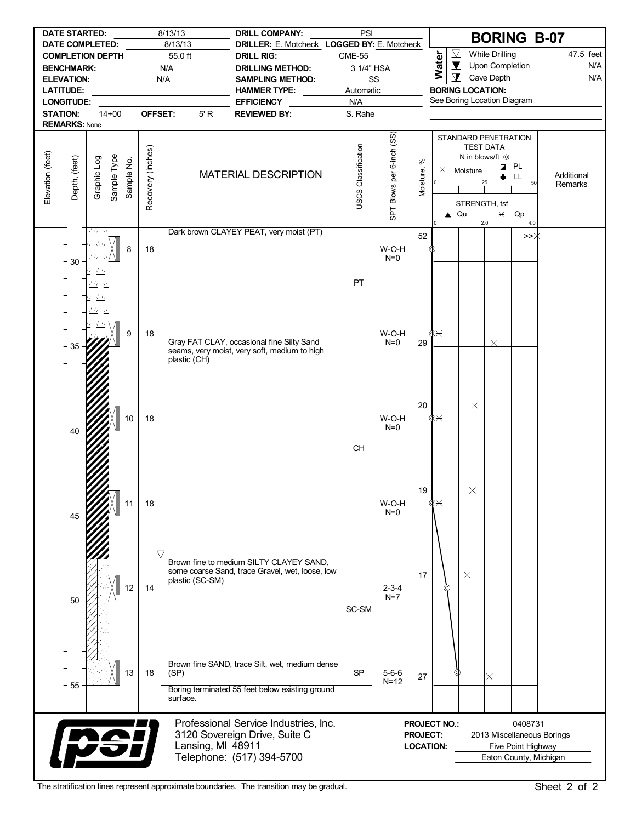|                  | <b>DATE STARTED:</b>                                       |                             |             |                 |                   | 8/13/13                                 | <b>DRILL COMPANY:</b>                                            | PSI                        |                           |                 |                     |                          |                                                                   | <b>BORING B-07</b>         |                       |
|------------------|------------------------------------------------------------|-----------------------------|-------------|-----------------|-------------------|-----------------------------------------|------------------------------------------------------------------|----------------------------|---------------------------|-----------------|---------------------|--------------------------|-------------------------------------------------------------------|----------------------------|-----------------------|
|                  | <b>DATE COMPLETED:</b><br>COMPLETION DEPTH                 |                             |             |                 |                   | 8/13/13<br>55.0 ft                      | DRILLER: E. Motcheck LOGGED BY: E. Motcheck<br><b>DRILL RIG:</b> | <b>CME-55</b>              |                           |                 |                     | $\overline{\mathcal{Y}}$ | <b>While Drilling</b>                                             |                            | 47.5 feet             |
|                  | BENCHMARK: N/A                                             |                             |             |                 |                   |                                         | DRILLING METHOD:                                                 | 3 1/4" HSA                 |                           |                 | Water               | $\blacktriangledown$     | Upon Completion                                                   |                            | N/A                   |
|                  | ELEVATION: ____________                                    |                             |             |                 |                   | N/A                                     | SAMPLING METHOD:                                                 |                            | SS                        |                 |                     | $\mathbf{\Sigma}$        | Cave Depth                                                        |                            | N/A                   |
|                  | <b>LATITUDE:</b>                                           |                             |             |                 |                   | <u> 1980 - Johann Barbara, martxa a</u> | <b>HAMMER TYPE:</b>                                              | Automatic                  |                           |                 |                     |                          | <b>BORING LOCATION:</b>                                           |                            |                       |
|                  | <b>LONGITUDE:</b>                                          |                             |             |                 |                   |                                         | EFFICIENCY ___________                                           | N/A                        |                           |                 |                     |                          | See Boring Location Diagram                                       |                            |                       |
| <b>STATION:</b>  |                                                            |                             | $14 + 00$   |                 | OFFSET:           | 5' R                                    | <b>REVIEWED BY:</b>                                              | S. Rahe                    |                           |                 |                     |                          |                                                                   |                            |                       |
|                  | <b>REMARKS: None</b>                                       |                             |             |                 |                   |                                         |                                                                  |                            |                           |                 |                     |                          |                                                                   |                            |                       |
|                  |                                                            |                             |             |                 |                   |                                         |                                                                  |                            | SPT Blows per 6-inch (SS) | $\aleph$        |                     |                          | STANDARD PENETRATION<br><b>TEST DATA</b><br>N in blows/ft $\odot$ |                            |                       |
| Elevation (feet) | Depth, (feet)                                              | Graphic Log                 | Sample Type | Sample No.      | Recovery (inches) |                                         | <b>MATERIAL DESCRIPTION</b>                                      | <b>USCS Classification</b> |                           | Moisture,       | l o                 | $\times$ Moisture        |                                                                   | <b>Z</b> PL<br>LL<br>50    | Additional<br>Remarks |
|                  |                                                            |                             |             |                 |                   |                                         |                                                                  |                            |                           |                 |                     | $\triangle$ Qu           | STRENGTH, tsf<br>$*$                                              | Qp                         |                       |
|                  |                                                            | クで カ                        |             |                 |                   |                                         | Dark brown CLAYEY PEAT, very moist (PT)                          |                            |                           |                 | I٥                  |                          | 2.0                                                               | 4.0                        |                       |
|                  |                                                            | 丛<br>Ľ.                     |             |                 |                   |                                         |                                                                  |                            |                           | 52              |                     |                          |                                                                   | $>>\times$                 |                       |
|                  |                                                            | $\mathcal{N}I_{\mathbb{Z}}$ |             | 8               | 18                |                                         |                                                                  |                            | W-O-H<br>$N=0$            |                 | ℗                   |                          |                                                                   |                            |                       |
|                  | 30                                                         | $\frac{\Delta L}{L}$<br>Ŀ.  |             |                 |                   |                                         |                                                                  |                            |                           |                 |                     |                          |                                                                   |                            |                       |
|                  |                                                            | $\sqrt{2}$ $\sqrt{2}$       |             |                 |                   |                                         |                                                                  | PT                         |                           |                 |                     |                          |                                                                   |                            |                       |
|                  |                                                            | セユン                         |             |                 |                   |                                         |                                                                  |                            |                           |                 |                     |                          |                                                                   |                            |                       |
|                  |                                                            | 立友 立                        |             |                 |                   |                                         |                                                                  |                            |                           |                 |                     |                          |                                                                   |                            |                       |
|                  |                                                            | 立ち                          |             |                 |                   |                                         |                                                                  |                            |                           |                 |                     |                          |                                                                   |                            |                       |
|                  | 9<br>18<br>Gray FAT CLAY, occasional fine Silty Sand<br>35 |                             |             |                 |                   |                                         |                                                                  |                            | W-O-H                     |                 | $\circledast$       |                          |                                                                   |                            |                       |
|                  |                                                            |                             |             |                 |                   |                                         | seams, very moist, very soft, medium to high                     |                            | $N=0$                     | 29              |                     |                          | $\times$                                                          |                            |                       |
|                  | plastic (CH)                                               |                             |             |                 |                   |                                         |                                                                  |                            |                           |                 |                     |                          |                                                                   |                            |                       |
|                  |                                                            |                             |             |                 |                   |                                         |                                                                  |                            |                           |                 |                     |                          |                                                                   |                            |                       |
|                  |                                                            |                             |             |                 |                   |                                         |                                                                  |                            |                           |                 |                     |                          |                                                                   |                            |                       |
|                  |                                                            |                             |             |                 |                   |                                         |                                                                  |                            |                           | 20              |                     | $\times$                 |                                                                   |                            |                       |
|                  |                                                            |                             |             | 10              | 18                |                                         |                                                                  |                            | W-O-H                     |                 | ФЖ                  |                          |                                                                   |                            |                       |
|                  |                                                            |                             |             |                 |                   |                                         |                                                                  |                            | $N=0$                     |                 |                     |                          |                                                                   |                            |                       |
|                  |                                                            |                             |             |                 |                   |                                         |                                                                  |                            |                           |                 |                     |                          |                                                                   |                            |                       |
|                  |                                                            |                             |             |                 |                   |                                         |                                                                  | <b>CH</b>                  |                           |                 |                     |                          |                                                                   |                            |                       |
|                  |                                                            |                             |             |                 |                   |                                         |                                                                  |                            |                           |                 |                     |                          |                                                                   |                            |                       |
|                  |                                                            |                             |             |                 |                   |                                         |                                                                  |                            |                           |                 |                     |                          |                                                                   |                            |                       |
|                  |                                                            |                             |             |                 |                   |                                         |                                                                  |                            |                           | 19              |                     | $\times$                 |                                                                   |                            |                       |
|                  |                                                            |                             |             | 11              | 18                |                                         |                                                                  |                            | W-O-H<br>$N=0$            |                 | ФЖ                  |                          |                                                                   |                            |                       |
|                  |                                                            |                             |             |                 |                   |                                         |                                                                  |                            |                           |                 |                     |                          |                                                                   |                            |                       |
|                  |                                                            |                             |             |                 |                   |                                         |                                                                  |                            |                           |                 |                     |                          |                                                                   |                            |                       |
|                  |                                                            |                             |             |                 |                   |                                         |                                                                  |                            |                           |                 |                     |                          |                                                                   |                            |                       |
|                  |                                                            |                             |             |                 |                   |                                         | Brown fine to medium SILTY CLAYEY SAND,                          |                            |                           |                 |                     |                          |                                                                   |                            |                       |
|                  |                                                            |                             |             |                 |                   | plastic (SC-SM)                         | some coarse Sand, trace Gravel, wet, loose, low                  |                            |                           | 17              |                     | $\times$                 |                                                                   |                            |                       |
|                  |                                                            |                             |             | 12 <sup>°</sup> | 14                |                                         |                                                                  |                            | $2 - 3 - 4$               |                 |                     |                          |                                                                   |                            |                       |
|                  | 50                                                         |                             |             |                 |                   |                                         |                                                                  |                            | $N=7$                     |                 |                     |                          |                                                                   |                            |                       |
|                  |                                                            |                             |             |                 |                   |                                         |                                                                  | <b>SC-SM</b>               |                           |                 |                     |                          |                                                                   |                            |                       |
|                  |                                                            |                             |             |                 |                   |                                         |                                                                  |                            |                           |                 |                     |                          |                                                                   |                            |                       |
|                  |                                                            |                             |             |                 |                   |                                         |                                                                  |                            |                           |                 |                     |                          |                                                                   |                            |                       |
|                  |                                                            |                             |             |                 |                   |                                         |                                                                  |                            |                           |                 |                     |                          |                                                                   |                            |                       |
|                  |                                                            |                             |             | 13              | 18                | (SP)                                    | Brown fine SAND, trace Silt, wet, medium dense                   | <b>SP</b>                  | $5 - 6 - 6$               |                 |                     |                          |                                                                   |                            |                       |
|                  | 55                                                         |                             |             |                 |                   |                                         |                                                                  |                            | $N=12$                    | 27              |                     |                          | $\times$                                                          |                            |                       |
|                  |                                                            |                             |             |                 |                   | surface.                                | Boring terminated 55 feet below existing ground                  |                            |                           |                 |                     |                          |                                                                   |                            |                       |
|                  |                                                            |                             |             |                 |                   |                                         |                                                                  |                            |                           |                 |                     |                          |                                                                   |                            |                       |
|                  |                                                            |                             |             |                 |                   |                                         | Professional Service Industries, Inc.                            |                            |                           |                 | <b>PROJECT NO.:</b> |                          |                                                                   | 0408731                    |                       |
|                  |                                                            |                             |             |                 |                   |                                         | 3120 Sovereign Drive, Suite C                                    |                            |                           | <b>PROJECT:</b> |                     |                          |                                                                   | 2013 Miscellaneous Borings |                       |
|                  |                                                            | psi                         |             |                 |                   | Lansing, MI 48911                       |                                                                  |                            |                           |                 | <b>LOCATION:</b>    |                          |                                                                   | Five Point Highway         |                       |
|                  |                                                            |                             |             |                 |                   |                                         | Telephone: (517) 394-5700                                        |                            |                           |                 |                     |                          |                                                                   | Eaton County, Michigan     |                       |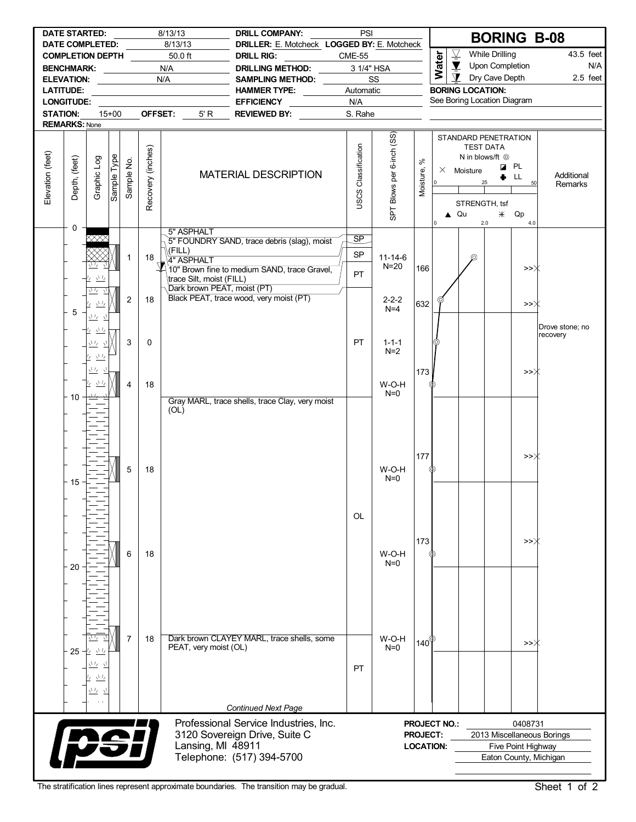|                  | <b>DATE STARTED:</b><br><b>DATE COMPLETED:</b> |                                  |             |                |                   | 8/13/13<br>8/13/13          | <b>DRILL COMPANY:</b><br>DRILLER: E. Motcheck LOGGED BY: E. Motcheck | PSI                    |                           |                   |                     |                                 | <b>BORING B-08</b>                             |                    |                            |
|------------------|------------------------------------------------|----------------------------------|-------------|----------------|-------------------|-----------------------------|----------------------------------------------------------------------|------------------------|---------------------------|-------------------|---------------------|---------------------------------|------------------------------------------------|--------------------|----------------------------|
|                  | <b>COMPLETION DEPTH</b>                        |                                  |             |                |                   | 50.0 ft                     | <b>DRILL RIG:</b>                                                    | <b>CME-55</b>          |                           |                   |                     | $\overline{\underline{\nabla}}$ | <b>While Drilling</b>                          |                    | 43.5 feet                  |
|                  | <b>BENCHMARK:</b>                              |                                  |             |                |                   | N/A                         | DRILLING METHOD:                                                     |                        | 3 1/4" HSA                |                   | <b>Water</b>        | $\blacktriangledown$            | Upon Completion                                |                    | N/A                        |
|                  | <b>ELEVATION:</b>                              |                                  |             |                |                   | N/A                         | SAMPLING METHOD:                                                     |                        | SS                        |                   |                     | $\mathbf{\Sigma}$               | Dry Cave Depth                                 |                    | $2.5$ feet                 |
|                  | <b>LATITUDE:</b>                               |                                  |             |                |                   |                             | <b>HAMMER TYPE:</b>                                                  | Automatic              |                           |                   |                     | <b>BORING LOCATION:</b>         |                                                |                    |                            |
|                  | <b>LONGITUDE:</b>                              |                                  |             |                |                   |                             | <b>EFFICIENCY</b>                                                    | N/A                    |                           |                   |                     | See Boring Location Diagram     |                                                |                    |                            |
| <b>STATION:</b>  |                                                |                                  | $15 + 00$   |                | OFFSET:           | 5'R                         | REVIEWED BY:                                                         | S. Rahe                |                           |                   |                     |                                 |                                                |                    |                            |
|                  | <b>REMARKS: None</b>                           |                                  |             |                |                   |                             |                                                                      |                        |                           |                   |                     |                                 |                                                |                    |                            |
|                  |                                                |                                  |             |                |                   |                             |                                                                      |                        | SPT Blows per 6-inch (SS) |                   |                     | STANDARD PENETRATION            | <b>TEST DATA</b><br>N in blows/ft <sup>O</sup> |                    |                            |
| Elevation (feet) | Depth, (feet)                                  | Graphic Log                      | Sample Type | Sample No.     |                   |                             | <b>MATERIAL DESCRIPTION</b>                                          |                        |                           | వి<br>Moisture,   |                     | $\times$ Moisture               | <b>Z</b> PL<br>25                              | LL.                | Additional                 |
|                  |                                                |                                  |             |                | Recovery (inches) |                             |                                                                      | USCS Classification    |                           |                   | $\overline{0}$      | STRENGTH, tsf                   |                                                | 50                 | Remarks                    |
|                  | 0                                              |                                  |             |                |                   |                             |                                                                      |                        |                           |                   | $\overline{0}$      | $\triangle$ Qu                  | $*$ Qp<br>2.0                                  | 4.0                |                            |
|                  |                                                |                                  |             |                |                   | 5" ASPHALT                  | 5" FOUNDRY SAND, trace debris (slag), moist                          | $\overline{\text{SP}}$ |                           |                   |                     |                                 |                                                |                    |                            |
|                  |                                                |                                  |             |                |                   | $\Lambda$ (FILL)            |                                                                      | <b>SP</b>              |                           |                   |                     |                                 |                                                |                    |                            |
|                  |                                                |                                  |             | 1              | 18                | 4" ASPHALT                  |                                                                      |                        | $11 - 14 - 6$<br>$N=20$   |                   |                     | ⊚                               |                                                |                    |                            |
|                  |                                                | $\sqrt{V}$<br>Ľ.                 |             |                |                   | trace Silt, moist (FILL)    | 10" Brown fine to medium SAND, trace Gravel,                         | PT.                    |                           | 166               |                     |                                 |                                                | >>Ж                |                            |
|                  |                                                | 业                                |             |                |                   | Dark brown PEAT, moist (PT) |                                                                      |                        |                           |                   |                     |                                 |                                                |                    |                            |
|                  |                                                | $\sqrt{L}$                       |             | $\overline{2}$ | 18                |                             | Black PEAT, trace wood, very moist (PT)                              |                        | $2 - 2 - 2$               | 632               |                     |                                 |                                                |                    |                            |
|                  | 5                                              | η,                               |             |                |                   |                             |                                                                      |                        | $N=4$                     |                   |                     |                                 |                                                | >>                 |                            |
|                  |                                                | 立 立                              |             |                |                   |                             |                                                                      |                        |                           |                   |                     |                                 |                                                |                    | Drove stone; no            |
|                  |                                                | 业<br>Ŀ                           |             |                |                   |                             |                                                                      |                        |                           |                   |                     |                                 |                                                |                    | recovery                   |
|                  |                                                | いち                               |             | 3              | $\mathbf 0$       |                             |                                                                      | PT                     | $1 - 1 - 1$<br>$N=2$      |                   |                     |                                 |                                                |                    |                            |
|                  |                                                | $\frac{\sqrt{1}}{2}$<br><u>V</u> |             |                |                   |                             |                                                                      |                        |                           |                   |                     |                                 |                                                |                    |                            |
|                  |                                                | いち                               |             |                |                   |                             |                                                                      |                        |                           | 173               |                     |                                 |                                                | >>Ж                |                            |
|                  |                                                | $\frac{1}{2}$                    |             | 4              | 18                |                             |                                                                      |                        | W-O-H                     |                   |                     |                                 |                                                |                    |                            |
|                  | 10                                             |                                  |             |                |                   |                             |                                                                      |                        | $N=0$                     |                   |                     |                                 |                                                |                    |                            |
|                  |                                                |                                  |             |                |                   | (OL)                        | Gray MARL, trace shells, trace Clay, very moist                      |                        |                           |                   |                     |                                 |                                                |                    |                            |
|                  |                                                |                                  |             |                |                   |                             |                                                                      |                        |                           |                   |                     |                                 |                                                |                    |                            |
|                  |                                                |                                  |             |                |                   |                             |                                                                      |                        |                           |                   |                     |                                 |                                                |                    |                            |
|                  |                                                |                                  |             |                |                   |                             |                                                                      |                        |                           |                   |                     |                                 |                                                |                    |                            |
|                  |                                                |                                  |             |                |                   |                             |                                                                      |                        |                           | 177               |                     |                                 |                                                | >>Ж                |                            |
|                  |                                                |                                  |             | 5              | 18                |                             |                                                                      |                        | W-O-H                     |                   | ℗                   |                                 |                                                |                    |                            |
|                  |                                                |                                  |             |                |                   |                             |                                                                      |                        | $N=0$                     |                   |                     |                                 |                                                |                    |                            |
|                  | 15                                             |                                  |             |                |                   |                             |                                                                      |                        |                           |                   |                     |                                 |                                                |                    |                            |
|                  |                                                |                                  |             |                |                   |                             |                                                                      |                        |                           |                   |                     |                                 |                                                |                    |                            |
|                  |                                                |                                  |             |                |                   |                             |                                                                      | <b>OL</b>              |                           |                   |                     |                                 |                                                |                    |                            |
|                  |                                                |                                  |             |                |                   |                             |                                                                      |                        |                           |                   |                     |                                 |                                                |                    |                            |
|                  |                                                |                                  |             |                |                   |                             |                                                                      |                        |                           |                   |                     |                                 |                                                |                    |                            |
|                  |                                                |                                  |             |                |                   |                             |                                                                      |                        |                           | 173               |                     |                                 |                                                | >>Ж                |                            |
|                  |                                                |                                  |             | 6              | 18                |                             |                                                                      |                        | W-O-H<br>$N=0$            |                   |                     |                                 |                                                |                    |                            |
|                  | 20                                             |                                  |             |                |                   |                             |                                                                      |                        |                           |                   |                     |                                 |                                                |                    |                            |
|                  |                                                |                                  |             |                |                   |                             |                                                                      |                        |                           |                   |                     |                                 |                                                |                    |                            |
|                  |                                                |                                  |             |                |                   |                             |                                                                      |                        |                           |                   |                     |                                 |                                                |                    |                            |
|                  |                                                |                                  |             |                |                   |                             |                                                                      |                        |                           |                   |                     |                                 |                                                |                    |                            |
|                  |                                                |                                  |             |                |                   |                             |                                                                      |                        |                           |                   |                     |                                 |                                                |                    |                            |
|                  |                                                |                                  |             |                |                   |                             |                                                                      |                        |                           |                   |                     |                                 |                                                |                    |                            |
|                  |                                                |                                  |             | 7              | 18                |                             | Dark brown CLAYEY MARL, trace shells, some                           |                        | W-O-H                     | $140^{\circledR}$ |                     |                                 |                                                | >>〉                |                            |
|                  |                                                | $25 - 11$                        |             |                |                   | PEAT, very moist (OL)       |                                                                      |                        | $N=0$                     |                   |                     |                                 |                                                |                    |                            |
|                  |                                                | <u>ハマース</u>                      |             |                |                   |                             |                                                                      | <b>PT</b>              |                           |                   |                     |                                 |                                                |                    |                            |
|                  |                                                | $\sqrt{L}$                       |             |                |                   |                             |                                                                      |                        |                           |                   |                     |                                 |                                                |                    |                            |
|                  |                                                | <u>ハバース</u>                      |             |                |                   |                             |                                                                      |                        |                           |                   |                     |                                 |                                                |                    |                            |
|                  |                                                |                                  |             |                |                   |                             |                                                                      |                        |                           |                   |                     |                                 |                                                |                    |                            |
|                  |                                                |                                  |             |                |                   |                             | <b>Continued Next Page</b>                                           |                        |                           |                   |                     |                                 |                                                |                    |                            |
|                  |                                                |                                  |             |                |                   |                             | Professional Service Industries, Inc.                                |                        |                           |                   | <b>PROJECT NO.:</b> |                                 |                                                | 0408731            |                            |
|                  |                                                |                                  |             |                |                   |                             | 3120 Sovereign Drive, Suite C                                        |                        |                           | <b>PROJECT:</b>   |                     |                                 |                                                |                    | 2013 Miscellaneous Borings |
|                  |                                                | vśi                              |             |                |                   | Lansing, MI 48911           |                                                                      |                        |                           | <b>LOCATION:</b>  |                     |                                 |                                                | Five Point Highway |                            |
|                  |                                                |                                  |             |                |                   |                             | Telephone: (517) 394-5700                                            |                        |                           |                   |                     |                                 | Eaton County, Michigan                         |                    |                            |
|                  |                                                |                                  |             |                |                   |                             |                                                                      |                        |                           |                   |                     |                                 |                                                |                    |                            |

The stratification lines represent approximate boundaries. The transition may be gradual. Sheet 1 of 2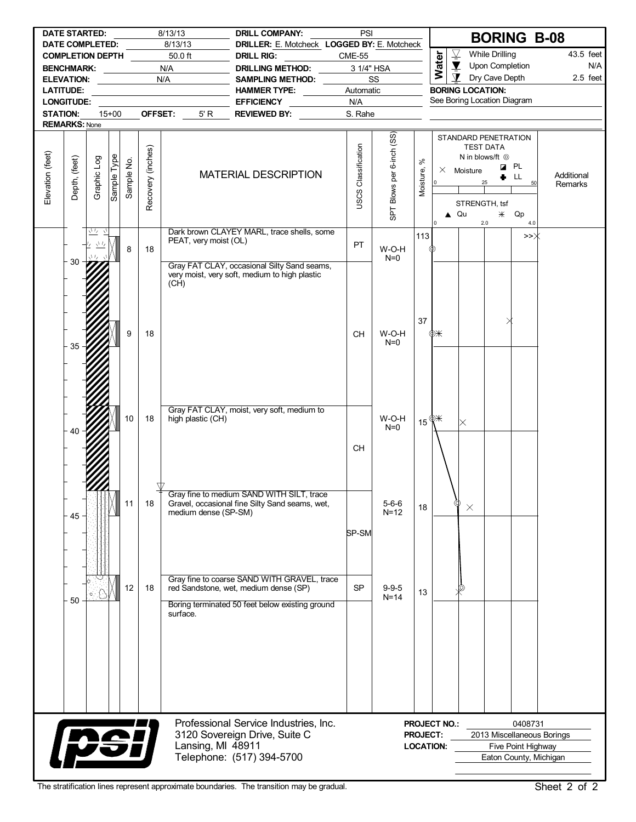|                  | <b>DATE STARTED:</b>                              |             |             |            |                   | 8/13/13                                      | <b>DRILL COMPANY:</b>                                                                        | PSI                 |                           |                       |                     |                                                                              |                                                                                         | <b>BORING B-08</b>         |                       |
|------------------|---------------------------------------------------|-------------|-------------|------------|-------------------|----------------------------------------------|----------------------------------------------------------------------------------------------|---------------------|---------------------------|-----------------------|---------------------|------------------------------------------------------------------------------|-----------------------------------------------------------------------------------------|----------------------------|-----------------------|
|                  | <b>DATE COMPLETED:</b><br><b>COMPLETION DEPTH</b> |             |             |            |                   | 8/13/13<br>50.0 ft                           | DRILLER: E. Motcheck LOGGED BY: E. Motcheck<br><b>DRILL RIG:</b>                             | <b>CME-55</b>       |                           |                       |                     | $\overline{\mathcal{Y}}$                                                     | <b>While Drilling</b>                                                                   |                            | 43.5 feet             |
|                  | BENCHMARK:                                        |             |             |            |                   | N/A                                          | <b>DRILLING METHOD:</b>                                                                      | 3 1/4" HSA          |                           |                       | Water               | $\blacktriangledown$                                                         | Upon Completion                                                                         |                            | N/A                   |
|                  |                                                   |             |             |            |                   | N/A                                          | SAMPLING METHOD:                                                                             |                     | SS                        |                       |                     | $\mathbf T$                                                                  | Dry Cave Depth                                                                          |                            | $2.5$ feet            |
|                  | <b>LATITUDE:</b>                                  |             |             |            |                   | the control of the control of the control of | HAMMER TYPE: NAMMER TYPE:                                                                    | Automatic           |                           |                       |                     | <b>BORING LOCATION:</b>                                                      |                                                                                         |                            |                       |
|                  | <b>LONGITUDE:</b>                                 |             |             |            |                   |                                              | <b>EFFICIENCY</b>                                                                            | N/A                 |                           |                       |                     | See Boring Location Diagram                                                  |                                                                                         |                            |                       |
| <b>STATION:</b>  |                                                   |             | $15+00$     |            |                   | OFFSET:<br>5' R                              | <b>REVIEWED BY:</b>                                                                          | S. Rahe             |                           |                       |                     |                                                                              |                                                                                         |                            |                       |
|                  | <b>REMARKS: None</b>                              |             |             |            |                   |                                              |                                                                                              |                     |                           |                       |                     |                                                                              |                                                                                         |                            |                       |
| Elevation (feet) | Depth, (feet)                                     | Graphic Log | Sample Type | Sample No. | Recovery (inches) |                                              | <b>MATERIAL DESCRIPTION</b>                                                                  | USCS Classification | SPT Blows per 6-inch (SS) | $\aleph$<br>Moisture, | 0                   | STANDARD PENETRATION<br>$\times$ Moisture<br>STRENGTH, tsf<br>$\triangle$ Qu | <b>TEST DATA</b><br>N in blows/ft <sup>@</sup><br><b>Z</b> PL<br>25<br>$\divideontimes$ | LL<br>50<br>Qp             | Additional<br>Remarks |
|                  |                                                   | 示立          |             |            |                   |                                              | Dark brown CLAYEY MARL, trace shells, some                                                   |                     |                           |                       | I٥                  |                                                                              | 2.0                                                                                     | 4.0                        |                       |
|                  |                                                   | さち          |             |            |                   | PEAT, very moist (OL)                        |                                                                                              | PT                  |                           | 113                   |                     |                                                                              |                                                                                         | >>Ж                        |                       |
|                  | 30                                                |             |             | 8          | 18                |                                              |                                                                                              |                     | W-O-H<br>$N=0$            |                       |                     |                                                                              |                                                                                         |                            |                       |
|                  | 9                                                 |             |             |            |                   | (CH)                                         | Gray FAT CLAY, occasional Silty Sand seams,<br>very moist, very soft, medium to high plastic |                     |                           |                       |                     |                                                                              |                                                                                         |                            |                       |
|                  |                                                   |             |             |            |                   |                                              |                                                                                              |                     |                           | 37                    |                     |                                                                              |                                                                                         |                            |                       |
|                  |                                                   | 18          |             |            |                   |                                              |                                                                                              | <b>CH</b>           | W-O-H<br>$N=0$            |                       | ФЖ                  |                                                                              |                                                                                         |                            |                       |
|                  |                                                   |             |             |            |                   |                                              |                                                                                              |                     |                           |                       |                     |                                                                              |                                                                                         |                            |                       |
|                  |                                                   |             |             |            |                   |                                              |                                                                                              |                     |                           |                       |                     |                                                                              |                                                                                         |                            |                       |
|                  |                                                   |             |             |            |                   |                                              |                                                                                              |                     |                           |                       |                     |                                                                              |                                                                                         |                            |                       |
|                  |                                                   |             |             |            |                   |                                              |                                                                                              |                     |                           |                       |                     |                                                                              |                                                                                         |                            |                       |
|                  |                                                   |             |             |            |                   |                                              |                                                                                              |                     |                           |                       |                     |                                                                              |                                                                                         |                            |                       |
|                  |                                                   |             |             |            |                   |                                              | Gray FAT CLAY, moist, very soft, medium to                                                   |                     |                           |                       |                     |                                                                              |                                                                                         |                            |                       |
|                  |                                                   |             |             | 10         | 18                | high plastic (CH)                            |                                                                                              |                     | W-O-H<br>$N=0$            |                       | 15 $\mathbb{R}^*$   | $\mathord{\times}$                                                           |                                                                                         |                            |                       |
|                  |                                                   |             |             |            |                   |                                              |                                                                                              |                     |                           |                       |                     |                                                                              |                                                                                         |                            |                       |
|                  |                                                   |             |             |            |                   |                                              |                                                                                              | CН                  |                           |                       |                     |                                                                              |                                                                                         |                            |                       |
|                  |                                                   |             |             |            |                   |                                              |                                                                                              |                     |                           |                       |                     |                                                                              |                                                                                         |                            |                       |
|                  |                                                   |             |             |            |                   |                                              |                                                                                              |                     |                           |                       |                     |                                                                              |                                                                                         |                            |                       |
|                  |                                                   |             |             |            |                   |                                              |                                                                                              |                     |                           |                       |                     |                                                                              |                                                                                         |                            |                       |
|                  |                                                   |             |             | 11         | 18                |                                              | Gray fine to medium SAND WITH SILT, trace<br>Gravel, occasional fine Silty Sand seams, wet,  |                     | $5 - 6 - 6$               |                       |                     | ⊚                                                                            |                                                                                         |                            |                       |
|                  | 45                                                |             |             |            |                   | medium dense (SP-SM)                         |                                                                                              |                     | $N=12$                    | 18                    |                     | $\times$                                                                     |                                                                                         |                            |                       |
|                  |                                                   |             |             |            |                   |                                              |                                                                                              |                     |                           |                       |                     |                                                                              |                                                                                         |                            |                       |
|                  |                                                   |             |             |            |                   |                                              |                                                                                              | SP-SM               |                           |                       |                     |                                                                              |                                                                                         |                            |                       |
|                  |                                                   |             |             |            |                   |                                              |                                                                                              |                     |                           |                       |                     |                                                                              |                                                                                         |                            |                       |
|                  |                                                   |             |             |            |                   |                                              |                                                                                              |                     |                           |                       |                     |                                                                              |                                                                                         |                            |                       |
|                  |                                                   |             |             |            |                   |                                              | Gray fine to coarse SAND WITH GRAVEL, trace                                                  |                     |                           |                       |                     |                                                                              |                                                                                         |                            |                       |
|                  |                                                   |             |             | 12         | 18                |                                              | red Sandstone, wet, medium dense (SP)                                                        | <b>SP</b>           | $9 - 9 - 5$               | 13                    |                     | ®                                                                            |                                                                                         |                            |                       |
|                  | 50                                                |             |             |            |                   |                                              | Boring terminated 50 feet below existing ground                                              |                     | $N=14$                    |                       |                     |                                                                              |                                                                                         |                            |                       |
|                  |                                                   |             |             |            |                   | surface.                                     |                                                                                              |                     |                           |                       |                     |                                                                              |                                                                                         |                            |                       |
|                  |                                                   |             |             |            |                   |                                              |                                                                                              |                     |                           |                       |                     |                                                                              |                                                                                         |                            |                       |
|                  |                                                   |             |             |            |                   |                                              |                                                                                              |                     |                           |                       |                     |                                                                              |                                                                                         |                            |                       |
|                  |                                                   |             |             |            |                   |                                              |                                                                                              |                     |                           |                       |                     |                                                                              |                                                                                         |                            |                       |
|                  |                                                   |             |             |            |                   |                                              |                                                                                              |                     |                           |                       |                     |                                                                              |                                                                                         |                            |                       |
|                  |                                                   |             |             |            |                   |                                              |                                                                                              |                     |                           |                       |                     |                                                                              |                                                                                         |                            |                       |
|                  |                                                   |             |             |            |                   |                                              |                                                                                              |                     |                           |                       |                     |                                                                              |                                                                                         |                            |                       |
|                  |                                                   |             |             |            |                   |                                              |                                                                                              |                     |                           |                       |                     |                                                                              |                                                                                         |                            |                       |
|                  |                                                   |             |             |            |                   |                                              | Professional Service Industries, Inc.                                                        |                     |                           |                       | <b>PROJECT NO.:</b> |                                                                              |                                                                                         | 0408731                    |                       |
|                  |                                                   |             |             |            |                   |                                              | 3120 Sovereign Drive, Suite C                                                                |                     |                           | <b>PROJECT:</b>       |                     |                                                                              |                                                                                         | 2013 Miscellaneous Borings |                       |
|                  | <b>Ipsi</b>                                       |             |             |            |                   | Lansing, MI 48911                            |                                                                                              |                     |                           |                       | <b>LOCATION:</b>    |                                                                              |                                                                                         | Five Point Highway         |                       |
|                  |                                                   |             |             |            |                   |                                              | Telephone: (517) 394-5700                                                                    |                     |                           |                       |                     |                                                                              |                                                                                         | Eaton County, Michigan     |                       |
|                  |                                                   |             |             |            |                   |                                              |                                                                                              |                     |                           |                       |                     |                                                                              |                                                                                         |                            |                       |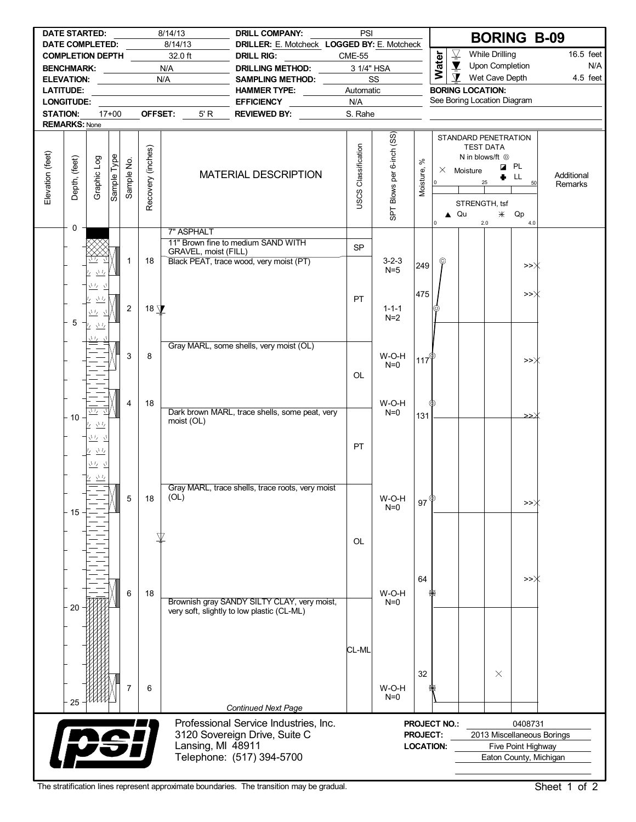| <b>DATE STARTED:</b><br>8/14/13                   |                   |                                               |             |                |                   | PSI<br><b>DRILL COMPANY:</b>                      |                                                  |                            |                           |                    | <b>BORING B-09</b>                                |                                                        |                       |                        |                       |
|---------------------------------------------------|-------------------|-----------------------------------------------|-------------|----------------|-------------------|---------------------------------------------------|--------------------------------------------------|----------------------------|---------------------------|--------------------|---------------------------------------------------|--------------------------------------------------------|-----------------------|------------------------|-----------------------|
| <b>DATE COMPLETED:</b><br><b>COMPLETION DEPTH</b> |                   |                                               |             |                |                   | 8/14/13                                           | DRILLER: E. Motcheck LOGGED BY: E. Motcheck      |                            |                           |                    | $\overline{\mathcal{Y}}$<br><b>While Drilling</b> |                                                        |                       |                        |                       |
|                                                   |                   |                                               |             |                |                   | 32.0 ft                                           | <b>DRILL RIG:</b>                                | <b>CME-55</b>              |                           |                    | Water                                             | $\blacktriangledown$                                   | Upon Completion       |                        | 16.5 feet<br>N/A      |
|                                                   |                   | BENCHMARK: __________                         |             |                |                   | N/A                                               | <b>DRILLING METHOD:</b>                          | 3 1/4" HSA                 |                           |                    |                                                   | $\mathbf{\Sigma}$                                      | Wet Cave Depth        |                        |                       |
|                                                   |                   | ELEVATION: _____________                      |             |                |                   | N/A                                               | <b>SAMPLING METHOD:</b>                          |                            | SS                        |                    |                                                   |                                                        |                       |                        | 4.5 feet              |
| <b>LATITUDE:</b>                                  |                   |                                               |             |                |                   | <u> 1989 - Johann Barnett, fransk politiker (</u> | HAMMER TYPE:                                     | Automatic                  |                           |                    |                                                   | <b>BORING LOCATION:</b><br>See Boring Location Diagram |                       |                        |                       |
| <b>LONGITUDE:</b><br>$17+00$<br>OFFSET:           |                   |                                               |             |                |                   |                                                   | <b>EFFICIENCY</b>                                | N/A                        |                           |                    |                                                   |                                                        |                       |                        |                       |
| <b>STATION:</b><br><b>REMARKS: None</b>           |                   |                                               |             |                |                   | 5' R                                              | <b>REVIEWED BY:</b>                              | S. Rahe                    |                           |                    |                                                   |                                                        |                       |                        |                       |
|                                                   |                   |                                               |             |                |                   |                                                   |                                                  |                            |                           |                    |                                                   | STANDARD PENETRATION                                   |                       |                        |                       |
|                                                   |                   |                                               |             |                |                   |                                                   |                                                  |                            | SPT Blows per 6-inch (SS) |                    |                                                   |                                                        | <b>TEST DATA</b>      |                        |                       |
|                                                   |                   |                                               |             |                |                   |                                                   |                                                  |                            |                           | $\aleph$           |                                                   |                                                        | N in blows/ft $\odot$ |                        |                       |
|                                                   |                   |                                               |             |                |                   |                                                   |                                                  |                            |                           |                    |                                                   | $\times$ Moisture                                      |                       | <b>Z</b> PL            |                       |
|                                                   |                   |                                               |             |                |                   |                                                   | <b>MATERIAL DESCRIPTION</b>                      |                            |                           |                    | l 0                                               |                                                        |                       | LL<br>50               | Additional<br>Remarks |
| Elevation (feet)                                  | Depth, (feet)     | Graphic Log                                   | Sample Type | Sample No.     |                   |                                                   |                                                  | <b>USCS Classification</b> |                           | Moisture,          |                                                   |                                                        |                       |                        |                       |
|                                                   |                   |                                               |             |                | Recovery (inches) |                                                   |                                                  |                            |                           |                    |                                                   | STRENGTH, tsf                                          |                       |                        |                       |
|                                                   |                   |                                               |             |                |                   |                                                   |                                                  |                            |                           |                    |                                                   | $\triangle$ Qu                                         | $*$                   | Qp                     |                       |
|                                                   | 0                 |                                               |             |                |                   | 7" ASPHALT                                        |                                                  |                            |                           |                    | I٥                                                |                                                        | 2.0                   | 4.0                    |                       |
|                                                   |                   |                                               |             |                |                   |                                                   | 11" Brown fine to medium SAND WITH               |                            |                           |                    |                                                   |                                                        |                       |                        |                       |
|                                                   |                   |                                               |             |                |                   | GRAVEL, moist (FILL)                              |                                                  | <b>SP</b>                  |                           |                    |                                                   |                                                        |                       |                        |                       |
|                                                   |                   |                                               |             | $\mathbf{1}$   | 18                |                                                   | Black PEAT, trace wood, very moist (PT)          |                            | $3 - 2 - 3$               | 249                | φ                                                 |                                                        |                       | >>〉                    |                       |
|                                                   |                   | $\sqrt{L}$<br>$\frac{I_{\ell}}{I_{\ell}}$     |             |                |                   |                                                   |                                                  |                            | $N=5$                     |                    |                                                   |                                                        |                       |                        |                       |
|                                                   |                   | 立友立                                           |             |                |                   |                                                   |                                                  |                            |                           |                    |                                                   |                                                        |                       |                        |                       |
|                                                   |                   | 丛                                             |             |                |                   |                                                   |                                                  | PT.                        |                           | 475                |                                                   |                                                        |                       | >>∦                    |                       |
|                                                   |                   | $\frac{\sqrt{L_f}}{L}$                        |             | $\overline{2}$ | 18 $\sqrt{ }$     |                                                   |                                                  |                            | $1 - 1 - 1$<br>$N=2$      |                    |                                                   |                                                        |                       |                        |                       |
|                                                   | 5                 | 12 VB                                         |             |                |                   |                                                   |                                                  |                            |                           |                    |                                                   |                                                        |                       |                        |                       |
|                                                   |                   |                                               |             |                |                   |                                                   |                                                  |                            |                           |                    |                                                   |                                                        |                       |                        |                       |
|                                                   |                   |                                               |             |                |                   |                                                   | Gray MARL, some shells, very moist (OL)          |                            |                           |                    |                                                   |                                                        |                       |                        |                       |
|                                                   |                   |                                               |             | 3              | 8                 |                                                   |                                                  |                            | W-O-H<br>$N=0$            | 117 $^{\circ}$     |                                                   |                                                        |                       | >>Ж                    |                       |
|                                                   |                   |                                               |             |                |                   |                                                   |                                                  | <b>OL</b>                  |                           |                    |                                                   |                                                        |                       |                        |                       |
|                                                   |                   |                                               |             |                |                   |                                                   |                                                  |                            |                           |                    |                                                   |                                                        |                       |                        |                       |
|                                                   |                   |                                               |             |                |                   |                                                   |                                                  |                            |                           |                    |                                                   |                                                        |                       |                        |                       |
|                                                   |                   | $\sqrt{I_Z}$                                  |             | 4              | 18                |                                                   | Dark brown MARL, trace shells, some peat, very   |                            | W-O-H<br>$N=0$            |                    | ⊕                                                 |                                                        |                       |                        |                       |
|                                                   | $-10$             | <b>ターマー</b>                                   |             |                |                   | moist (OL)                                        |                                                  |                            |                           | 131                |                                                   |                                                        |                       | ٌ≤≤                    |                       |
|                                                   |                   |                                               |             |                |                   |                                                   |                                                  |                            |                           |                    |                                                   |                                                        |                       |                        |                       |
|                                                   |                   | 立友立                                           |             |                |                   |                                                   |                                                  | <b>PT</b>                  |                           |                    |                                                   |                                                        |                       |                        |                       |
|                                                   |                   | $\underline{\underbrace{\Lambda\,I_I}}$<br>ı, |             |                |                   |                                                   |                                                  |                            |                           |                    |                                                   |                                                        |                       |                        |                       |
|                                                   |                   | 立立                                            |             |                |                   |                                                   |                                                  |                            |                           |                    |                                                   |                                                        |                       |                        |                       |
|                                                   |                   | $\overline{\gamma_1\gamma}$                   |             |                |                   |                                                   |                                                  |                            |                           |                    |                                                   |                                                        |                       |                        |                       |
|                                                   |                   | $ +$ $+$                                      |             |                |                   | (OL)                                              | Gray MARL, trace shells, trace roots, very moist |                            |                           |                    |                                                   |                                                        |                       |                        |                       |
|                                                   |                   |                                               |             | 5              | 18                |                                                   |                                                  |                            | W-O-H<br>$N=0$            | $97^{\circ}$       |                                                   |                                                        |                       | >>                     |                       |
|                                                   | 15                |                                               |             |                |                   |                                                   |                                                  |                            |                           |                    |                                                   |                                                        |                       |                        |                       |
|                                                   |                   |                                               |             |                |                   |                                                   |                                                  |                            |                           |                    |                                                   |                                                        |                       |                        |                       |
|                                                   |                   |                                               |             |                |                   |                                                   |                                                  | OL                         |                           |                    |                                                   |                                                        |                       |                        |                       |
|                                                   |                   |                                               |             |                |                   |                                                   |                                                  |                            |                           |                    |                                                   |                                                        |                       |                        |                       |
|                                                   |                   |                                               |             |                |                   |                                                   |                                                  |                            |                           |                    |                                                   |                                                        |                       |                        |                       |
|                                                   |                   |                                               |             |                |                   |                                                   |                                                  |                            |                           | 64                 |                                                   |                                                        |                       | >>Ж                    |                       |
|                                                   |                   |                                               |             | 6              | 18                |                                                   |                                                  |                            | W-O-H                     |                    |                                                   |                                                        |                       |                        |                       |
|                                                   | 20                |                                               |             |                |                   |                                                   | Brownish gray SANDY SILTY CLAY, very moist,      |                            | $N=0$                     |                    |                                                   |                                                        |                       |                        |                       |
|                                                   |                   |                                               |             |                |                   |                                                   | very soft, slightly to low plastic (CL-ML)       |                            |                           |                    |                                                   |                                                        |                       |                        |                       |
|                                                   |                   |                                               |             |                |                   |                                                   |                                                  |                            |                           |                    |                                                   |                                                        |                       |                        |                       |
|                                                   |                   |                                               |             |                |                   |                                                   |                                                  |                            |                           |                    |                                                   |                                                        |                       |                        |                       |
|                                                   |                   |                                               |             |                |                   |                                                   |                                                  | CL-ML                      |                           |                    |                                                   |                                                        |                       |                        |                       |
|                                                   |                   |                                               |             |                |                   |                                                   |                                                  |                            |                           |                    |                                                   |                                                        |                       |                        |                       |
|                                                   |                   |                                               |             |                |                   |                                                   |                                                  |                            |                           | 32                 |                                                   |                                                        | $\times$              |                        |                       |
|                                                   |                   |                                               |             | 7              | 6                 |                                                   |                                                  |                            | W-O-H                     |                    |                                                   |                                                        |                       |                        |                       |
|                                                   | 25                |                                               |             |                |                   |                                                   |                                                  |                            | $N=0$                     |                    |                                                   |                                                        |                       |                        |                       |
|                                                   |                   |                                               |             |                |                   |                                                   | <b>Continued Next Page</b>                       |                            |                           |                    |                                                   |                                                        |                       |                        |                       |
|                                                   |                   |                                               |             |                |                   |                                                   | Professional Service Industries, Inc.            |                            |                           |                    | <b>PROJECT NO.:</b>                               |                                                        |                       | 0408731                |                       |
| 3120 Sovereign Drive, Suite C                     |                   |                                               |             |                |                   |                                                   |                                                  | <b>PROJECT:</b>            |                           |                    |                                                   | 2013 Miscellaneous Borings                             |                       |                        |                       |
|                                                   | Lansing, MI 48911 |                                               |             |                |                   | <b>LOCATION:</b>                                  |                                                  |                            |                           | Five Point Highway |                                                   |                                                        |                       |                        |                       |
|                                                   |                   |                                               |             |                |                   |                                                   | Telephone: (517) 394-5700                        |                            |                           |                    |                                                   |                                                        |                       | Eaton County, Michigan |                       |
|                                                   |                   |                                               |             |                |                   |                                                   |                                                  |                            |                           |                    |                                                   |                                                        |                       |                        |                       |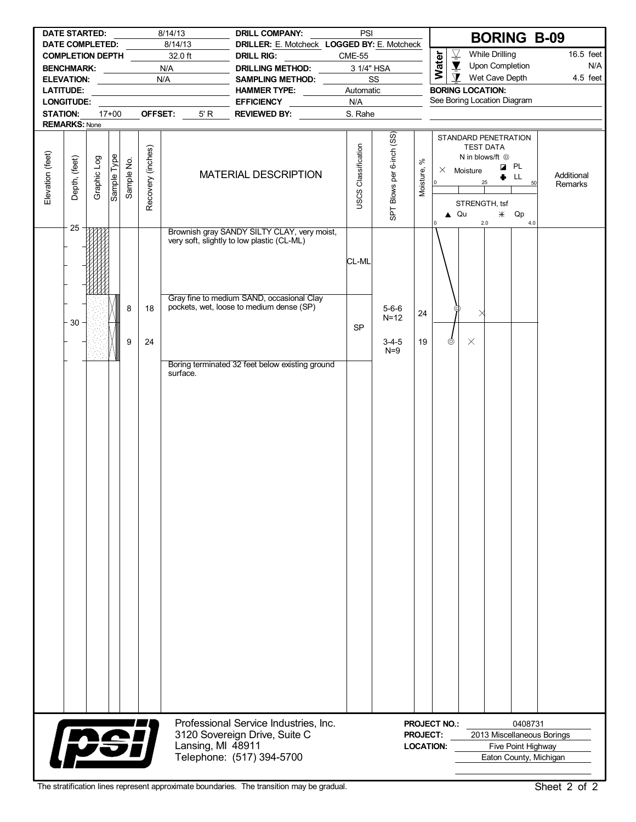|                  |                         | 8/14/13<br><b>DATE STARTED:</b><br><b>DATE COMPLETED:</b> |             |            |                   | 8/14/13           | <b>DRILL COMPANY:</b><br>DRILLER: E. Motcheck LOGGED BY: E. Motcheck                      | PSI                        |                           |                       |                                                       | <b>BORING B-09</b>                                                     |                                              |                       |
|------------------|-------------------------|-----------------------------------------------------------|-------------|------------|-------------------|-------------------|-------------------------------------------------------------------------------------------|----------------------------|---------------------------|-----------------------|-------------------------------------------------------|------------------------------------------------------------------------|----------------------------------------------|-----------------------|
|                  | <b>COMPLETION DEPTH</b> |                                                           |             |            |                   | 32.0 ft           | <b>DRILL RIG:</b>                                                                         | <b>CME-55</b>              |                           |                       | $\overline{\underline{\nabla}}$                       | <b>While Drilling</b>                                                  |                                              | 16.5 feet             |
|                  | <b>BENCHMARK:</b>       |                                                           |             |            |                   | N/A               | DRILLING METHOD:                                                                          |                            | 3 1/4" HSA                |                       | Water<br>$\overline{\mathbf{Y}}$                      | Upon Completion                                                        |                                              | N/A                   |
|                  | <b>ELEVATION:</b>       |                                                           |             |            |                   | N/A               | SAMPLING METHOD:                                                                          |                            | SS                        |                       | $\mathbf{\Sigma}$                                     | Wet Cave Depth                                                         |                                              | 4.5 feet              |
|                  | <b>LATITUDE:</b>        |                                                           |             |            |                   |                   | <b>HAMMER TYPE:</b>                                                                       | Automatic                  |                           |                       |                                                       | <b>BORING LOCATION:</b><br>See Boring Location Diagram                 |                                              |                       |
| <b>STATION:</b>  | LONGITUDE:              |                                                           | $17+00$     |            | OFFSET:           | 5' R              | <b>EFFICIENCY</b><br><b>REVIEWED BY:</b>                                                  | N/A<br>S. Rahe             |                           |                       |                                                       |                                                                        |                                              |                       |
|                  | <b>REMARKS: None</b>    |                                                           |             |            |                   |                   |                                                                                           |                            |                           |                       |                                                       |                                                                        |                                              |                       |
|                  |                         |                                                           |             |            |                   |                   |                                                                                           |                            |                           |                       |                                                       | STANDARD PENETRATION<br><b>TEST DATA</b><br>N in blows/ft <sup>@</sup> |                                              |                       |
| Elevation (feet) | Depth, (feet)           | Graphic Log                                               | Sample Type | Sample No. | Recovery (inches) |                   | MATERIAL DESCRIPTION                                                                      | <b>USCS Classification</b> | SPT Blows per 6-inch (SS) | $\aleph$<br>Moisture, | $\times$ Moisture<br>$\overline{0}$<br>$\triangle$ Qu | ۰<br>25<br>STRENGTH, tsf<br>$\divideontimes$                           | <b>Z</b> PL<br>LL<br>50<br>Qp                | Additional<br>Remarks |
|                  | 25                      |                                                           |             |            |                   |                   | Brownish gray SANDY SILTY CLAY, very moist,<br>very soft, slightly to low plastic (CL-ML) | CL-ML                      |                           |                       |                                                       | 2.0                                                                    | 4.0                                          |                       |
|                  | 30                      |                                                           |             | 8          | 18                |                   | Gray fine to medium SAND, occasional Clay<br>pockets, wet, loose to medium dense (SP)     | <b>SP</b>                  | $5 - 6 - 6$<br>$N=12$     | 24                    |                                                       |                                                                        |                                              |                       |
|                  |                         |                                                           |             | 9          | 24                | surface.          | Boring terminated 32 feet below existing ground                                           |                            | $3 - 4 - 5$<br>$N=9$      | 19                    | ⊚                                                     | $\times$                                                               |                                              |                       |
|                  |                         |                                                           |             |            |                   |                   | Professional Service Industries, Inc.                                                     |                            |                           |                       | <b>PROJECT NO.:</b>                                   |                                                                        | 0408731                                      |                       |
|                  | psi                     |                                                           |             |            |                   | Lansing, MI 48911 | 3120 Sovereign Drive, Suite C<br>Telephone: (517) 394-5700                                |                            |                           | <b>PROJECT:</b>       | <b>LOCATION:</b>                                      | 2013 Miscellaneous Borings                                             | Five Point Highway<br>Eaton County, Michigan |                       |

I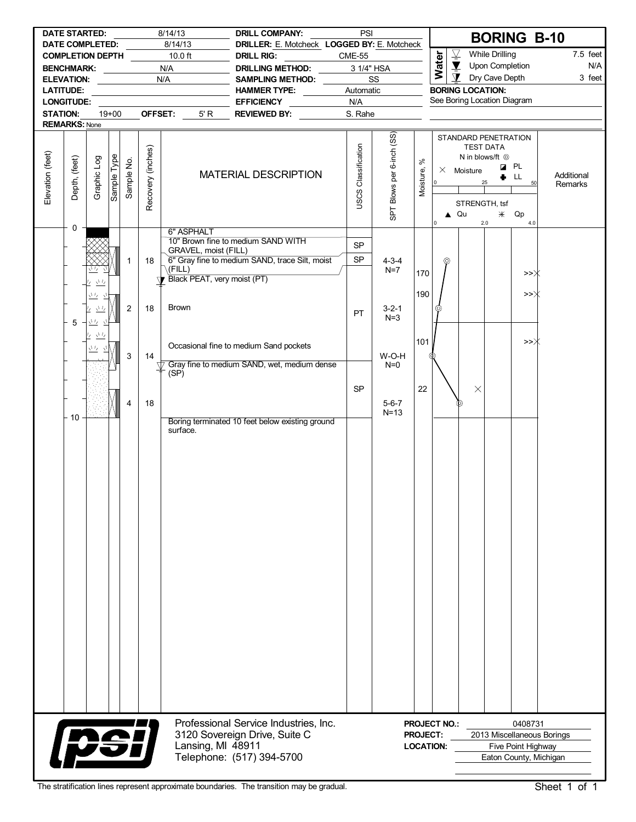| <b>DATE STARTED:</b><br>8/14/13<br>8/14/13<br><b>DATE COMPLETED:</b> |                                                           |                                                         |             |                |                   | PSI<br><b>DRILL COMPANY:</b><br>DRILLER: E. Motcheck LOGGED BY: E. Motcheck |                                                 |                                     |                           | <b>BORING B-10</b>      |                                                  |                                                                                                                |                                      |                 |                       |
|----------------------------------------------------------------------|-----------------------------------------------------------|---------------------------------------------------------|-------------|----------------|-------------------|-----------------------------------------------------------------------------|-------------------------------------------------|-------------------------------------|---------------------------|-------------------------|--------------------------------------------------|----------------------------------------------------------------------------------------------------------------|--------------------------------------|-----------------|-----------------------|
|                                                                      | <b>COMPLETION DEPTH</b>                                   |                                                         |             |                |                   | $10.0$ ft                                                                   | <b>DRILL RIG:</b>                               | <b>CME-55</b>                       |                           |                         |                                                  | $\overline{\underline{\nabla}}$                                                                                | <b>While Drilling</b>                |                 | $7.5$ feet            |
| N/A<br><b>BENCHMARK:</b>                                             |                                                           |                                                         |             |                |                   |                                                                             | <b>DRILLING METHOD:</b>                         |                                     | 3 1/4" HSA                |                         | Water                                            | $\blacktriangledown$                                                                                           | Upon Completion                      |                 | N/A                   |
| N/A<br>ELEVATION: ___________                                        |                                                           |                                                         |             |                | SAMPLING METHOD:  |                                                                             | SS                                              |                                     |                           | $\mathbf \Sigma$        | Dry Cave Depth                                   |                                                                                                                | 3 feet                               |                 |                       |
| <b>LATITUDE:</b><br><u> 1989 - Johann Barbara, martxa a</u>          |                                                           |                                                         |             |                | HAMMER TYPE:      | Automatic                                                                   |                                                 |                                     |                           | <b>BORING LOCATION:</b> |                                                  |                                                                                                                |                                      |                 |                       |
|                                                                      | <b>LONGITUDE:</b>                                         |                                                         |             |                |                   |                                                                             | <b>EFFICIENCY</b>                               | N/A                                 |                           |                         |                                                  | See Boring Location Diagram                                                                                    |                                      |                 |                       |
| <b>STATION:</b>                                                      | <b>REMARKS: None</b>                                      |                                                         | $19+00$     |                |                   | OFFSET:<br>5' R                                                             | REVIEWED BY:                                    | S. Rahe                             |                           |                         |                                                  |                                                                                                                |                                      |                 |                       |
|                                                                      |                                                           |                                                         |             |                |                   |                                                                             |                                                 |                                     |                           |                         |                                                  | STANDARD PENETRATION                                                                                           |                                      |                 |                       |
| Elevation (feet)                                                     | Depth, (feet)                                             | Graphic Log                                             | Sample Type | Sample No.     | Recovery (inches) |                                                                             | <b>MATERIAL DESCRIPTION</b>                     | USCS Classification                 | SPT Blows per 6-inch (SS) | వి<br>Moisture,         | $\vert$ 0<br>I٥                                  | <b>TEST DATA</b><br>N in blows/ft $\odot$<br>$\times$ Moisture<br>25<br>STRENGTH, tsf<br>$\triangle$ Qu<br>2.0 | <b>Z</b> PL<br>LL.<br>۰<br>Qp<br>$*$ | 50<br>4.0       | Additional<br>Remarks |
|                                                                      | 0                                                         |                                                         |             |                |                   | 6" ASPHALT                                                                  | 10" Brown fine to medium SAND WITH              |                                     |                           |                         |                                                  |                                                                                                                |                                      |                 |                       |
|                                                                      |                                                           |                                                         |             |                |                   | GRAVEL, moist (FILL)                                                        |                                                 | <b>SP</b>                           |                           |                         |                                                  |                                                                                                                |                                      |                 |                       |
|                                                                      |                                                           | Μ,                                                      |             | 1              | 18                | $\setminus$ (FILL)                                                          | 6" Gray fine to medium SAND, trace Silt, moist  | SP                                  | $4 - 3 - 4$<br>$N=7$      |                         | ⊚                                                |                                                                                                                |                                      |                 |                       |
|                                                                      |                                                           | 立友<br>17                                                |             |                |                   | Black PEAT, very moist (PT)                                                 |                                                 |                                     |                           | 170                     |                                                  |                                                                                                                |                                      | >>∦             |                       |
|                                                                      |                                                           | $\sqrt{I_Z}$<br>-71                                     |             |                |                   |                                                                             |                                                 |                                     |                           | 190                     |                                                  |                                                                                                                |                                      | $\rightarrow >$ |                       |
|                                                                      |                                                           | $\underline{\underbrace{\Lambda\,I_{\mathbf{Z}}}}$<br>4 |             | $\overline{2}$ | 18                | <b>Brown</b>                                                                |                                                 | PT                                  | $3 - 2 - 1$               |                         | ⊚                                                |                                                                                                                |                                      |                 |                       |
|                                                                      | 5                                                         | 业                                                       |             |                |                   |                                                                             |                                                 |                                     | $N=3$                     |                         |                                                  |                                                                                                                |                                      |                 |                       |
|                                                                      |                                                           | $\underline{\Delta L}$<br>ι,                            |             |                |                   |                                                                             |                                                 |                                     |                           |                         |                                                  |                                                                                                                |                                      |                 |                       |
|                                                                      |                                                           | きち                                                      |             |                |                   |                                                                             | Occasional fine to medium Sand pockets          |                                     |                           | 101                     |                                                  |                                                                                                                |                                      | >>Ж             |                       |
|                                                                      |                                                           |                                                         |             | 3              | 14                |                                                                             | Gray fine to medium SAND, wet, medium dense     |                                     | W-O-H<br>$N=0$            |                         |                                                  |                                                                                                                |                                      |                 |                       |
|                                                                      |                                                           |                                                         |             |                |                   | (SP)                                                                        |                                                 |                                     |                           |                         |                                                  |                                                                                                                |                                      |                 |                       |
|                                                                      |                                                           |                                                         |             |                |                   |                                                                             |                                                 | <b>SP</b>                           |                           | 22                      |                                                  | $\times$                                                                                                       |                                      |                 |                       |
|                                                                      |                                                           |                                                         |             | 4              | 18                |                                                                             |                                                 |                                     | $5 - 6 - 7$               |                         |                                                  |                                                                                                                |                                      |                 |                       |
|                                                                      | $-10$                                                     |                                                         |             |                |                   |                                                                             |                                                 |                                     | $N=13$                    |                         |                                                  |                                                                                                                |                                      |                 |                       |
|                                                                      |                                                           |                                                         |             |                |                   | surface.                                                                    | Boring terminated 10 feet below existing ground |                                     |                           |                         |                                                  |                                                                                                                |                                      |                 |                       |
|                                                                      |                                                           |                                                         |             |                |                   |                                                                             |                                                 |                                     |                           |                         |                                                  |                                                                                                                |                                      |                 |                       |
|                                                                      |                                                           |                                                         |             |                |                   |                                                                             |                                                 |                                     |                           |                         |                                                  |                                                                                                                |                                      |                 |                       |
|                                                                      |                                                           |                                                         |             |                |                   |                                                                             |                                                 |                                     |                           |                         |                                                  |                                                                                                                |                                      |                 |                       |
|                                                                      |                                                           |                                                         |             |                |                   |                                                                             |                                                 |                                     |                           |                         |                                                  |                                                                                                                |                                      |                 |                       |
|                                                                      |                                                           |                                                         |             |                |                   |                                                                             |                                                 |                                     |                           |                         |                                                  |                                                                                                                |                                      |                 |                       |
|                                                                      |                                                           |                                                         |             |                |                   |                                                                             |                                                 |                                     |                           |                         |                                                  |                                                                                                                |                                      |                 |                       |
|                                                                      |                                                           |                                                         |             |                |                   |                                                                             |                                                 |                                     |                           |                         |                                                  |                                                                                                                |                                      |                 |                       |
|                                                                      |                                                           |                                                         |             |                |                   |                                                                             |                                                 |                                     |                           |                         |                                                  |                                                                                                                |                                      |                 |                       |
|                                                                      |                                                           |                                                         |             |                |                   |                                                                             |                                                 |                                     |                           |                         |                                                  |                                                                                                                |                                      |                 |                       |
|                                                                      |                                                           |                                                         |             |                |                   |                                                                             |                                                 |                                     |                           |                         |                                                  |                                                                                                                |                                      |                 |                       |
|                                                                      |                                                           |                                                         |             |                |                   |                                                                             |                                                 |                                     |                           |                         |                                                  |                                                                                                                |                                      |                 |                       |
|                                                                      |                                                           |                                                         |             |                |                   |                                                                             |                                                 |                                     |                           |                         |                                                  |                                                                                                                |                                      |                 |                       |
|                                                                      |                                                           |                                                         |             |                |                   |                                                                             |                                                 |                                     |                           |                         |                                                  |                                                                                                                |                                      |                 |                       |
|                                                                      |                                                           |                                                         |             |                |                   |                                                                             |                                                 |                                     |                           |                         |                                                  |                                                                                                                |                                      |                 |                       |
|                                                                      |                                                           |                                                         |             |                |                   |                                                                             |                                                 |                                     |                           |                         |                                                  |                                                                                                                |                                      |                 |                       |
|                                                                      |                                                           |                                                         |             |                |                   |                                                                             |                                                 |                                     |                           |                         |                                                  |                                                                                                                |                                      |                 |                       |
|                                                                      |                                                           |                                                         |             |                |                   |                                                                             |                                                 |                                     |                           |                         |                                                  |                                                                                                                |                                      |                 |                       |
|                                                                      |                                                           |                                                         |             |                |                   |                                                                             |                                                 |                                     |                           |                         |                                                  |                                                                                                                |                                      |                 |                       |
|                                                                      |                                                           |                                                         |             |                |                   |                                                                             |                                                 |                                     |                           |                         |                                                  |                                                                                                                |                                      |                 |                       |
|                                                                      |                                                           |                                                         |             |                |                   |                                                                             |                                                 |                                     |                           |                         |                                                  |                                                                                                                |                                      |                 |                       |
|                                                                      |                                                           |                                                         |             |                |                   |                                                                             |                                                 |                                     |                           |                         |                                                  |                                                                                                                |                                      |                 |                       |
|                                                                      |                                                           |                                                         |             |                |                   |                                                                             |                                                 |                                     |                           |                         |                                                  |                                                                                                                |                                      |                 |                       |
|                                                                      |                                                           |                                                         |             |                |                   |                                                                             | Professional Service Industries, Inc.           |                                     |                           |                         | <b>PROJECT NO.:</b>                              |                                                                                                                |                                      | 0408731         |                       |
|                                                                      | pei<br>3120 Sovereign Drive, Suite C<br>Lansing, MI 48911 |                                                         |             |                |                   |                                                                             |                                                 | <b>PROJECT:</b><br><b>LOCATION:</b> |                           |                         | 2013 Miscellaneous Borings<br>Five Point Highway |                                                                                                                |                                      |                 |                       |
|                                                                      |                                                           |                                                         |             |                |                   |                                                                             | Telephone: (517) 394-5700                       |                                     |                           |                         |                                                  |                                                                                                                | Eaton County, Michigan               |                 |                       |
|                                                                      |                                                           |                                                         |             |                |                   |                                                                             |                                                 |                                     |                           |                         |                                                  |                                                                                                                |                                      |                 |                       |

Į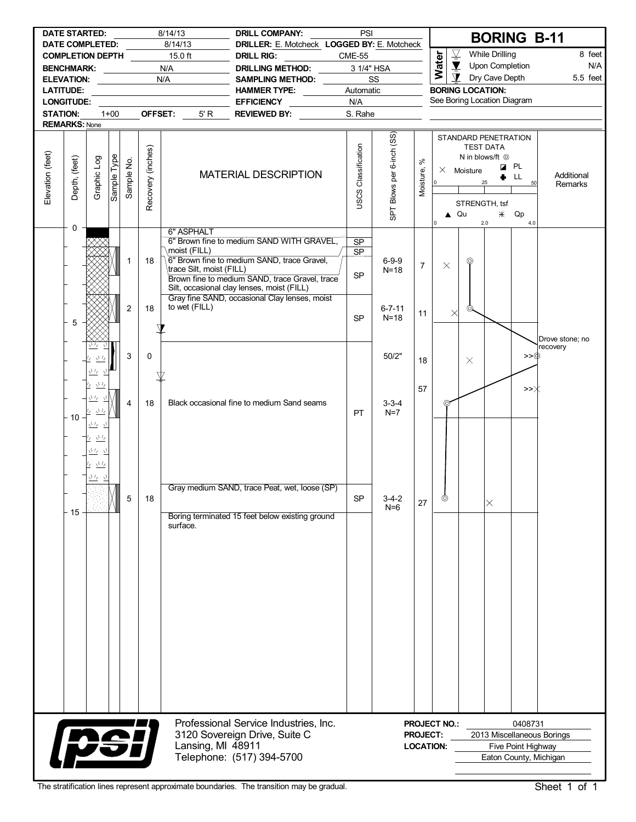| 8/14/13<br><b>DATE STARTED:</b><br>DATE COMPLETED: |                    |                                                                                             |             | PSI<br><b>DRILL COMPANY:</b><br>8/14/13<br>DRILLER: E. Motcheck LOGGED BY: E. Motcheck |                   |                                                         |                                                                                                                                                                                                                                           |                              |                           |                                     | <b>BORING B-11</b>                       |                                                                                                                           |                                   |                 |                                                      |
|----------------------------------------------------|--------------------|---------------------------------------------------------------------------------------------|-------------|----------------------------------------------------------------------------------------|-------------------|---------------------------------------------------------|-------------------------------------------------------------------------------------------------------------------------------------------------------------------------------------------------------------------------------------------|------------------------------|---------------------------|-------------------------------------|------------------------------------------|---------------------------------------------------------------------------------------------------------------------------|-----------------------------------|-----------------|------------------------------------------------------|
| <b>COMPLETION DEPTH</b>                            |                    |                                                                                             |             |                                                                                        |                   | $15.0$ ft                                               | <b>DRILL RIG:</b>                                                                                                                                                                                                                         | <b>CME-55</b>                |                           |                                     | $\overline{\mathcal{Y}}$                 |                                                                                                                           | <b>While Drilling</b>             |                 | 8 feet                                               |
| N/A<br><b>BENCHMARK:</b>                           |                    |                                                                                             |             |                                                                                        |                   |                                                         | DRILLING METHOD:                                                                                                                                                                                                                          | 3 1/4" HSA                   |                           |                                     | Water                                    | $\overline{\mathbf{Y}}$<br>$\mathbf{\Sigma}$                                                                              | Upon Completion<br>Dry Cave Depth |                 | N/A                                                  |
| N/A<br><b>ELEVATION:</b><br><b>LATITUDE:</b>       |                    |                                                                                             |             |                                                                                        |                   |                                                         | SAMPLING METHOD:<br>HAMMER TYPE: _______                                                                                                                                                                                                  | Automatic                    | SS                        |                                     |                                          | <b>BORING LOCATION:</b>                                                                                                   |                                   |                 | 5.5 feet                                             |
| <b>LONGITUDE:</b>                                  |                    |                                                                                             |             |                                                                                        |                   |                                                         | <b>EFFICIENCY</b>                                                                                                                                                                                                                         | N/A                          |                           |                                     |                                          | See Boring Location Diagram                                                                                               |                                   |                 |                                                      |
| <b>STATION:</b>                                    |                    |                                                                                             | $1 + 00$    |                                                                                        | OFFSET:           | 5' R                                                    | REVIEWED BY:                                                                                                                                                                                                                              | S. Rahe                      |                           |                                     |                                          |                                                                                                                           |                                   |                 |                                                      |
| <b>REMARKS: None</b>                               |                    |                                                                                             |             |                                                                                        |                   |                                                         |                                                                                                                                                                                                                                           |                              |                           |                                     |                                          |                                                                                                                           |                                   |                 |                                                      |
| Elevation (feet)                                   | Depth, (feet)<br>0 | Graphic Log                                                                                 | Sample Type | Sample No.                                                                             | Recovery (inches) |                                                         | <b>MATERIAL DESCRIPTION</b>                                                                                                                                                                                                               | USCS Classification          | SPT Blows per 6-inch (SS) | $\aleph$<br>Moisture,               | $\circ$<br>$\triangle$ Qu<br>$\mathbf 0$ | STANDARD PENETRATION<br><b>TEST DATA</b><br>N in blows/ft <sup>@</sup><br>$\times$ Moisture<br>25<br>STRENGTH, tsf<br>2.0 | <b>Z</b> PL<br>$*$ Qp             | LL<br>50<br>4.0 | Additional<br>Remarks                                |
|                                                    |                    |                                                                                             |             | 1                                                                                      | 18                | 6" ASPHALT<br>moist (FILL)<br>\trace Silt, moist (FILL) | 6" Brown fine to medium SAND WITH GRAVEL,<br>6" Brown fine to medium SAND, trace Gravel,<br>Brown fine to medium SAND, trace Gravel, trace<br>Silt, occasional clay lenses, moist (FILL)<br>Gray fine SAND, occasional Clay lenses, moist | <b>SP</b><br><b>SP</b><br>SP | $6 - 9 - 9$<br>$N=18$     | $\overline{7}$                      | $\times$                                 | ⊚                                                                                                                         |                                   |                 |                                                      |
|                                                    | 5                  |                                                                                             |             | 2                                                                                      | 18                | to wet (FILL)                                           |                                                                                                                                                                                                                                           | <b>SP</b>                    | $6 - 7 - 11$<br>$N=18$    | 11                                  | $\times$                                 |                                                                                                                           |                                   |                 | Drove stone; no                                      |
|                                                    |                    | $\sqrt{l}/l$<br>立ち 立<br>$\underline{\Lambda}I_I$                                            |             | 3                                                                                      | 0                 |                                                         |                                                                                                                                                                                                                                           |                              | 50/2"                     | 18                                  |                                          | $\times$                                                                                                                  |                                   | >>®             | recovery                                             |
|                                                    | $-10$              | <u> バーバ</u><br>$\sqrt{L}$<br>$\overline{'}$<br>元 互<br>$\sqrt{I}$<br>Ι7                      |             | $\overline{4}$                                                                         | 18                |                                                         | Black occasional fine to medium Sand seams                                                                                                                                                                                                | PT                           | $3 - 3 - 4$<br>$N=7$      | 57                                  | ⊚                                        |                                                                                                                           |                                   | >>Ж             |                                                      |
|                                                    | 15                 | ウ 立<br>$\underline{\Delta^1\prime}$<br>Γ.<br>$\frac{\sqrt{1}J_2}{2}$ – $\frac{\sqrt{1}}{2}$ | $\sqrt{ }$  | 5                                                                                      | 18                | surface.                                                | Gray medium SAND, trace Peat, wet, loose (SP)<br>Boring terminated 15 feet below existing ground                                                                                                                                          | <b>SP</b>                    | $3 - 4 - 2$<br>$N=6$      | 27                                  | ⊚                                        |                                                                                                                           | $\times$                          |                 |                                                      |
|                                                    |                    | psi                                                                                         |             |                                                                                        |                   | Lansing, MI 48911                                       | Professional Service Industries, Inc.<br>3120 Sovereign Drive, Suite C<br>Telephone: (517) 394-5700                                                                                                                                       |                              |                           | <b>PROJECT:</b><br><b>LOCATION:</b> | <b>PROJECT NO.:</b>                      |                                                                                                                           | Five Point Highway                | 0408731         | 2013 Miscellaneous Borings<br>Eaton County, Michigan |

I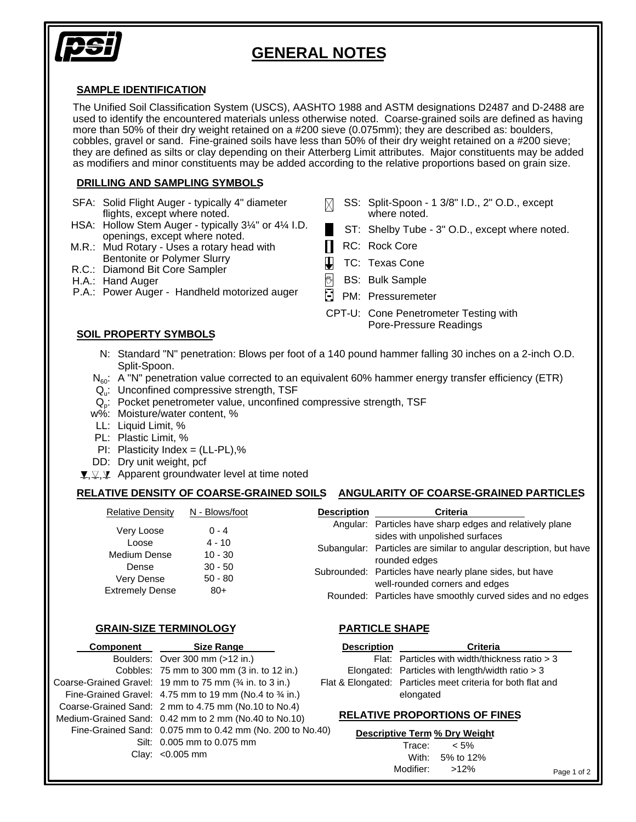

## **GENERAL NOTES**

#### **SAMPLE IDENTIFICATION**

The Unified Soil Classification System (USCS), AASHTO 1988 and ASTM designations D2487 and D-2488 are used to identify the encountered materials unless otherwise noted. Coarse-grained soils are defined as having more than 50% of their dry weight retained on a #200 sieve (0.075mm); they are described as: boulders, cobbles, gravel or sand. Fine-grained soils have less than 50% of their dry weight retained on a #200 sieve; they are defined as silts or clay depending on their Atterberg Limit attributes. Major constituents may be added as modifiers and minor constituents may be added according to the relative proportions based on grain size.

#### **DRILLING AND SAMPLING SYMBOLS**

- SFA: Solid Flight Auger typically 4" diameter flights, except where noted.
- HSA: Hollow Stem Auger typically 3¼" or 4¼ I.D. openings, except where noted.
- M.R.: Mud Rotary Uses a rotary head with Bentonite or Polymer Slurry
- R.C.: Diamond Bit Core Sampler
- H.A.: Hand Auger
- P.A.: Power Auger Handheld motorized auger

### **SOIL PROPERTY SYMBOLS**

- SS: Split-Spoon 1 3/8" I.D., 2" O.D., except M. where noted.
	- ST: Shelby Tube 3" O.D., except where noted.
	- RC: Rock Core
- $\mathbf{\mathbf{\mathsf{L}}}$ TC: Texas Cone
- $\mathbb{C}$ BS: Bulk Sample
- PM: Pressuremeter
- CPT-U: Cone Penetrometer Testing with Pore-Pressure Readings
- N: Standard "N" penetration: Blows per foot of a 140 pound hammer falling 30 inches on a 2-inch O.D. Split-Spoon.
- $N_{60}$ : A "N" penetration value corrected to an equivalent 60% hammer energy transfer efficiency (ETR)
- $\mathsf{Q}_\mathsf{u}\text{:}$  Unconfined compressive strength, TSF
- $Q_{p}$ : Pocket penetrometer value, unconfined compressive strength, TSF
- w%: Moisture/water content, %
- LL: Liquid Limit, %
- PL: Plastic Limit, %
- $PI:$  Plasticity Index = (LL-PL),%
- DD: Dry unit weight, pcf
- , $\mathfrak{T}, \mathfrak{T}$  Apparent groundwater level at time noted

### **RELATIVE DENSITY OF COARSE-GRAINED SOILS ANGULARITY OF COARSE-GRAINED PARTICLES**

| <b>Relative Density</b> | N - Blows/foot         | <b>Description</b> | <b>Criteria</b>                                                                              |
|-------------------------|------------------------|--------------------|----------------------------------------------------------------------------------------------|
| Very Loose              | $0 - 4$                |                    | Angular: Particles have sharp edges and relatively plane<br>sides with unpolished surfaces   |
| Loose<br>Medium Dense   | $4 - 10$<br>$10 - 30$  |                    | Subangular: Particles are similar to angular description, but have<br>rounded edges          |
| Dense<br>Very Dense     | $30 - 50$<br>$50 - 80$ |                    | Subrounded: Particles have nearly plane sides, but have                                      |
| <b>Extremely Dense</b>  | $80+$                  |                    | well-rounded corners and edges<br>Rounded: Particles have smoothly curved sides and no edges |

#### **GRAIN-SIZE TERMINOLOGY PARTICLE SHAPE**

Modifier:

>12%

| Component | <b>Size Range</b>                                         | <b>Description</b> | <b>Criteria</b>                                             |
|-----------|-----------------------------------------------------------|--------------------|-------------------------------------------------------------|
|           | Boulders: Over 300 mm (>12 in.)                           |                    | Flat: Particles with width/thickness ratio > 3              |
|           | Cobbles: 75 mm to 300 mm (3 in. to 12 in.)                |                    | Elongated: Particles with length/width ratio > 3            |
|           | Coarse-Grained Gravel: 19 mm to 75 mm (% in. to 3 in.)    |                    | Flat & Elongated: Particles meet criteria for both flat and |
|           | Fine-Grained Gravel: 4.75 mm to 19 mm (No.4 to 34 in.)    |                    | elongated                                                   |
|           | Coarse-Grained Sand: 2 mm to 4.75 mm (No.10 to No.4)      |                    |                                                             |
|           | Medium-Grained Sand: 0.42 mm to 2 mm (No.40 to No.10)     |                    | <b>RELATIVE PROPORTIONS OF FINES</b>                        |
|           | Fine-Grained Sand: 0.075 mm to 0.42 mm (No. 200 to No.40) |                    | Descriptive Term % Dry Weight                               |
|           | Silt: 0.005 mm to 0.075 mm                                |                    | Trace:<br>$< 5\%$                                           |
|           | Clay: $< 0.005$ mm                                        |                    | With:<br>5% to 12%                                          |

Page 1 of 2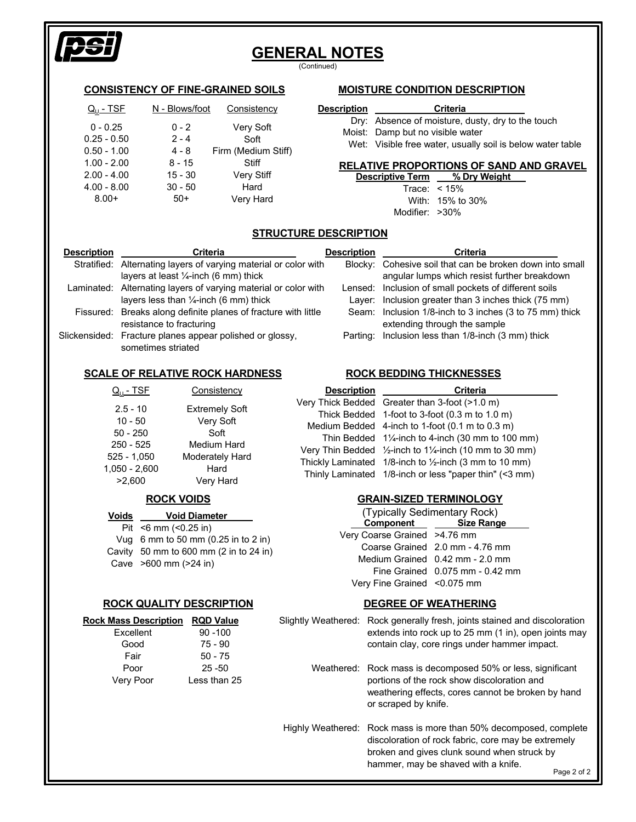

# **GENERAL NOTES**

(Continued)

### **CONSISTENCY OF FINE-GRAINED SOILS**

| <u>Q<sub>u</sub> - TSF</u> | N - Blows/foot | Consistency         |
|----------------------------|----------------|---------------------|
| $0 - 0.25$                 | $0 - 2$        | Very Soft           |
| $0.25 - 0.50$              | $2 - 4$        | Soft                |
| $0.50 - 1.00$              | $4 - 8$        | Firm (Medium Stiff) |
| $1.00 - 2.00$              | $8 - 15$       | Stiff               |
| $2.00 - 4.00$              | $15 - 30$      | <b>Very Stiff</b>   |
| $4.00 - 8.00$              | $30 - 50$      | Hard                |
| $8.00+$                    | $50+$          | Very Hard           |

### **MOISTURE CONDITION DESCRIPTION**

| <b>Description</b> | <b>Criteria</b>                                      |
|--------------------|------------------------------------------------------|
|                    | Dry: Absence of moisture, dusty, dry to the touch    |
|                    | Moist: Damp but no visible water                     |
|                    | Wet: Vioible free water, usually soil is below water |

Wet: Visible free water, usually soil is below water table

#### **RELATIVE PROPORTIONS OF SAND AND GRAVEL**

**Descriptive Term % Dry Weight** < 15% Trace: 15% to 30% With: Modifier: >30%

### **STRUCTURE DESCRIPTION**

| <b>Description</b> | <b>Criteria</b>                                                                                                      | Description | <b>Criteria</b>                                                                                               |
|--------------------|----------------------------------------------------------------------------------------------------------------------|-------------|---------------------------------------------------------------------------------------------------------------|
|                    | Stratified: Alternating layers of varying material or color with<br>layers at least $\frac{1}{4}$ -inch (6 mm) thick |             | Blocky: Cohesive soil that can be broken down into small<br>angular lumps which resist further breakdown      |
|                    | Laminated: Alternating layers of varying material or color with<br>layers less than $\frac{1}{4}$ -inch (6 mm) thick |             | Lensed: Inclusion of small pockets of different soils<br>Layer: Inclusion greater than 3 inches thick (75 mm) |
|                    | Fissured: Breaks along definite planes of fracture with little<br>resistance to fracturing                           | Seam:       | Inclusion 1/8-inch to 3 inches (3 to 75 mm) thick<br>extending through the sample                             |
|                    | Slickensided: Fracture planes appear polished or glossy,<br>sometimes striated                                       | Parting:    | Inclusion less than 1/8-inch (3 mm) thick                                                                     |
|                    |                                                                                                                      |             |                                                                                                               |

### **SCALE OF RELATIVE ROCK HARDNESS ROCK BEDDING THICKNESSES**

| $Q_{11}$ - TSF  | Consistency            |
|-----------------|------------------------|
| $2.5 - 10$      | <b>Extremely Soft</b>  |
| $10 - 50$       | Very Soft              |
| $50 - 250$      | Soft                   |
| $250 - 525$     | Medium Hard            |
| 525 - 1,050     | <b>Moderately Hard</b> |
| $1,050 - 2,600$ | Hard                   |
| >2,600          | Very Hard              |

#### **ROCK VOIDS**

| <b>Voids</b> | <b>Void Diameter</b>                                      |
|--------------|-----------------------------------------------------------|
|              | Pit $<$ 6 mm ( $<$ 0.25 in)                               |
|              | Vug 6 mm to 50 mm $(0.25$ in to 2 in)                     |
|              | Cavity 50 mm to 600 mm $(2 \text{ in to } 24 \text{ in})$ |
|              | Cave >600 mm (>24 in)                                     |

#### **ROCK QUALITY DESCRIPTION**

| <b>RQD Value</b> |
|------------------|
| $90 - 100$       |
| 75 - 90          |
| $50 - 75$        |
| $25 - 50$        |
| Less than 25     |
|                  |

| <b>Description</b> | <b>Criteria</b>                                                                |  |  |  |
|--------------------|--------------------------------------------------------------------------------|--|--|--|
|                    | Very Thick Bedded Greater than 3-foot (>1.0 m)                                 |  |  |  |
|                    | Thick Bedded 1-foot to 3-foot (0.3 m to 1.0 m)                                 |  |  |  |
|                    | Medium Bedded $4$ -inch to 1-foot (0.1 m to 0.3 m)                             |  |  |  |
|                    | Thin Bedded $1\frac{1}{4}$ -inch to 4-inch (30 mm to 100 mm)                   |  |  |  |
|                    | Very Thin Bedded $\frac{1}{2}$ -inch to 1 $\frac{1}{4}$ -inch (10 mm to 30 mm) |  |  |  |
|                    | Thickly Laminated $1/8$ -inch to $\frac{1}{2}$ -inch (3 mm to 10 mm)           |  |  |  |
|                    | Thinly Laminated 1/8-inch or less "paper thin" (<3 mm)                         |  |  |  |

#### **GRAIN-SIZED TERMINOLOGY**

| (Typically Sedimentary Rock)<br>Component ___ | <b>Size Range</b>               |  |  |  |
|-----------------------------------------------|---------------------------------|--|--|--|
| Very Coarse Grained >4.76 mm                  |                                 |  |  |  |
|                                               | Coarse Grained 2.0 mm - 4.76 mm |  |  |  |
|                                               | Medium Grained 0.42 mm - 2.0 mm |  |  |  |
|                                               | Fine Grained 0.075 mm - 0.42 mm |  |  |  |
| Very Fine Grained < 0.075 mm                  |                                 |  |  |  |

#### **DEGREE OF WEATHERING**

Page 2 of 2 Slightly Weathered: Rock generally fresh, joints stained and discoloration extends into rock up to 25 mm (1 in), open joints may contain clay, core rings under hammer impact. Weathered: Rock mass is decomposed 50% or less, significant portions of the rock show discoloration and weathering effects, cores cannot be broken by hand or scraped by knife. Highly Weathered: Rock mass is more than 50% decomposed, complete discoloration of rock fabric, core may be extremely broken and gives clunk sound when struck by hammer, may be shaved with a knife.